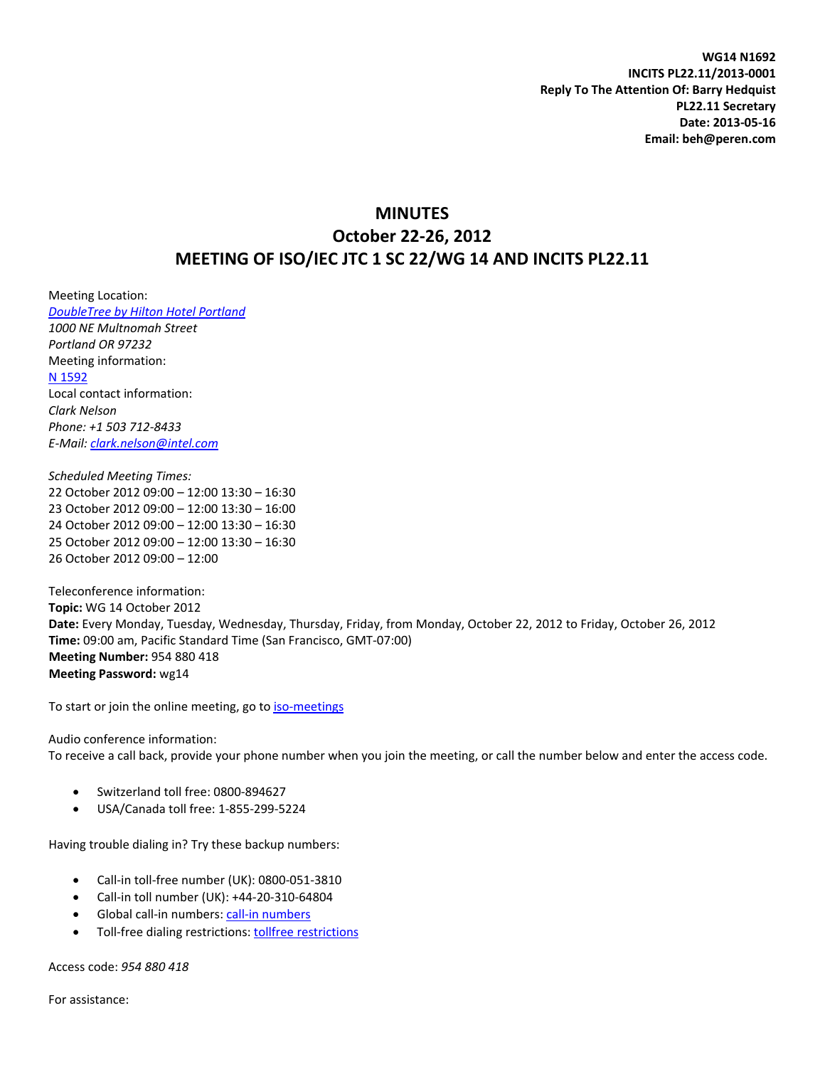**WG14 N1692 INCITS PL22.11/2013‐0001 Reply To The Attention Of: Barry Hedquist PL22.11 Secretary Date: 2013‐05‐16 Email: beh@peren.com**

# **MINUTES October 22‐26, 2012 MEETING OF ISO/IEC JTC 1 SC 22/WG 14 AND INCITS PL22.11**

Meeting Location: *[DoubleTree](http://www.portlandlloydcenter.doubletree.com/) by Hilton Hotel Portland 1000 NE Multnomah Street Portland OR 97232* Meeting information: N [1592](http://www.open-std.org/jtc1/sc22/wg14/www/docs/n1592.htm) Local contact information: *Clark Nelson Phone: +1 503 712‐8433 E‐Mail: [clark.nelson@intel.com](mailto:clark.nelson@intel.com)*

*Scheduled Meeting Times:* October 2012 09:00 – 12:00 13:30 – 16:30 October 2012 09:00 – 12:00 13:30 – 16:00 October 2012 09:00 – 12:00 13:30 – 16:30 October 2012 09:00 – 12:00 13:30 – 16:30 October 2012 09:00 – 12:00

Teleconference information: **Topic:** WG 14 October 2012 **Date:** Every Monday, Tuesday, Wednesday, Thursday, Friday, from Monday, October 22, 2012 to Friday, October 26, 2012 **Time:** 09:00 am, Pacific Standard Time (San Francisco, GMT‐07:00) **Meeting Number:** 954 880 418 **Meeting Password:** wg14

To start or join the online meeting, go to iso-[meetings](http://open-std.org/twiki/pub/WG14/Agenda/%20https://iso-meetings.webex.com/iso-meetings/j.php?ED=14689847&UID=0&PW=NOTM4NzEwMWU3&RT=MiM0)

Audio conference information: To receive a call back, provide your phone number when you join the meeting, or call the number below and enter the access code.

- Switzerland toll free: 0800‐894627
- USA/Canada toll free: 1‐855‐299‐5224

Having trouble dialing in? Try these backup numbers:

- Call‐in toll‐free number (UK): 0800‐051‐3810
- Call‐in toll number (UK): +44‐20‐310‐64804
- Global call‐in numbers: call‐in [numbers](https://iso-meetings.webex.com/iso-meetings/globalcallin.php?serviceType=MC&ED=2900202&tollFree=1)
- Toll-free dialing [restrictions](http://www.webex.com/pdf/tollfree_restrictions.pdf): tollfree restrictions

Access code: *954 880 418*

For assistance: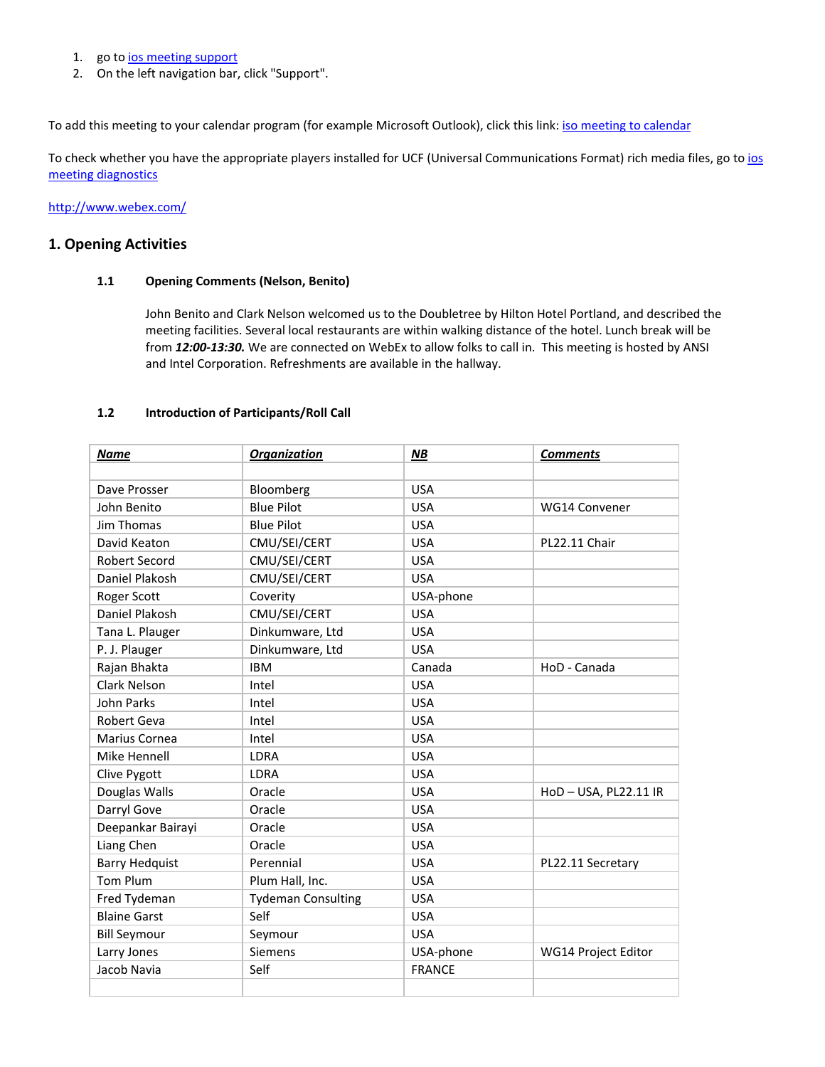- 1. go to *ios* [meeting](https://iso-meetings.webex.com/iso-meetings/mc) support
- 2. On the left navigation bar, click "Support".

To add this meeting to your [calendar](https://iso-meetings.webex.com/iso-meetings/j.php?ED=14689847&UID=0&ICS=MI&LD=1&RD=2&ST=1&SHA2=Cop9NRbuyaa0srthepqaW82aP/5-Y14QGWhT6eVVsxo=&RT=MiM0) program (for example Microsoft Outlook), click this link: iso meeting to calendar

To check whether you have the appropriate players installed for UCF (Universal Communications Format) rich media files, go to [ios](https://iso-meetings.webex.com/iso-meetings/systemdiagnosis.php) meeting [diagnostics](https://iso-meetings.webex.com/iso-meetings/systemdiagnosis.php)

<http://www.webex.com/>

# **1. Opening Activities**

## **1.1 Opening Comments (Nelson, Benito)**

John Benito and Clark Nelson welcomed us to the Doubletree by Hilton Hotel Portland, and described the meeting facilities. Several local restaurants are within walking distance of the hotel. Lunch break will be from 12:00-13:30. We are connected on WebEx to allow folks to call in. This meeting is hosted by ANSI and Intel Corporation. Refreshments are available in the hallway.

#### **1.2 Introduction of Participants/Roll Call**

| <b>Name</b>           | <b>Organization</b>       | NB            | <b>Comments</b>     |
|-----------------------|---------------------------|---------------|---------------------|
|                       |                           |               |                     |
| Dave Prosser          | Bloomberg                 | <b>USA</b>    |                     |
| John Benito           | <b>Blue Pilot</b>         | <b>USA</b>    | WG14 Convener       |
| Jim Thomas            | <b>Blue Pilot</b>         | <b>USA</b>    |                     |
| David Keaton          | CMU/SEI/CERT              | <b>USA</b>    | PL22.11 Chair       |
| <b>Robert Secord</b>  | CMU/SEI/CERT              | <b>USA</b>    |                     |
| Daniel Plakosh        | CMU/SEI/CERT              | <b>USA</b>    |                     |
| Roger Scott           | Coverity                  | USA-phone     |                     |
| Daniel Plakosh        | CMU/SEI/CERT              | <b>USA</b>    |                     |
| Tana L. Plauger       | Dinkumware, Ltd           | <b>USA</b>    |                     |
| P. J. Plauger         | Dinkumware, Ltd           | <b>USA</b>    |                     |
| Rajan Bhakta          | <b>IBM</b>                | Canada        | HoD - Canada        |
| <b>Clark Nelson</b>   | Intel                     | <b>USA</b>    |                     |
| John Parks            | Intel                     | <b>USA</b>    |                     |
| Robert Geva           | Intel                     | <b>USA</b>    |                     |
| Marius Cornea         | Intel                     | <b>USA</b>    |                     |
| Mike Hennell          | <b>LDRA</b>               | <b>USA</b>    |                     |
| Clive Pygott          | <b>LDRA</b>               | <b>USA</b>    |                     |
| Douglas Walls         | Oracle                    | <b>USA</b>    | HoD-USA, PL22.11 IR |
| Darryl Gove           | Oracle                    | <b>USA</b>    |                     |
| Deepankar Bairayi     | Oracle                    | <b>USA</b>    |                     |
| Liang Chen            | Oracle                    | <b>USA</b>    |                     |
| <b>Barry Hedquist</b> | Perennial                 | <b>USA</b>    | PL22.11 Secretary   |
| <b>Tom Plum</b>       | Plum Hall, Inc.           | <b>USA</b>    |                     |
| Fred Tydeman          | <b>Tydeman Consulting</b> | <b>USA</b>    |                     |
| <b>Blaine Garst</b>   | Self                      | <b>USA</b>    |                     |
| <b>Bill Seymour</b>   | Seymour                   | <b>USA</b>    |                     |
| Larry Jones           | <b>Siemens</b>            | USA-phone     | WG14 Project Editor |
| Jacob Navia           | Self                      | <b>FRANCE</b> |                     |
|                       |                           |               |                     |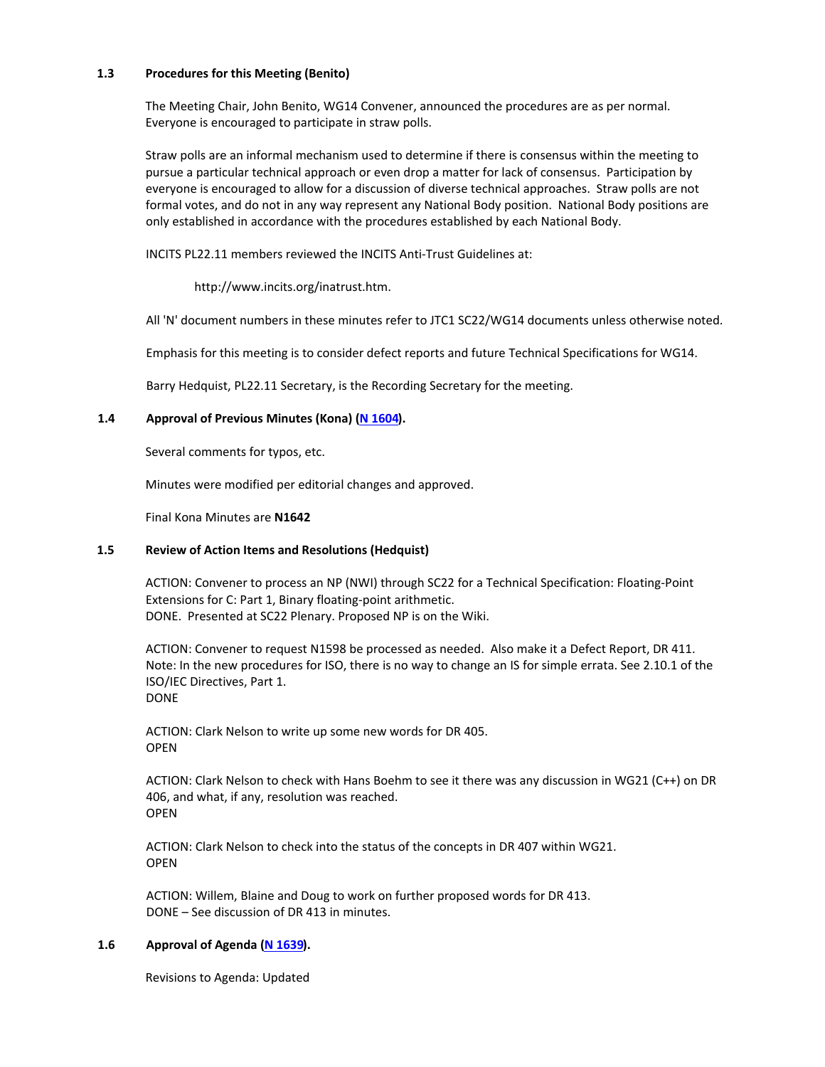#### **1.3 Procedures for this Meeting (Benito)**

The Meeting Chair, John Benito, WG14 Convener, announced the procedures are as per normal. Everyone is encouraged to participate in straw polls.

Straw polls are an informal mechanism used to determine if there is consensus within the meeting to pursue a particular technical approach or even drop a matter for lack of consensus. Participation by everyone is encouraged to allow for a discussion of diverse technical approaches. Straw polls are not formal votes, and do not in any way represent any National Body position. National Body positions are only established in accordance with the procedures established by each National Body.

INCITS PL22.11 members reviewed the INCITS Anti‐Trust Guidelines at:

[http://www.incits.org/inatrust.htm.](http://www.incits.org/inatrust.htm)

All 'N' document numbers in these minutes refer to JTC1 SC22/WG14 documents unless otherwise noted.

Emphasis for this meeting is to consider defect reports and future Technical Specifications for WG14.

Barry Hedquist, PL22.11 Secretary, is the Recording Secretary for the meeting.

# **1.4 Approval of Previous Minutes (Kona) (N [1604\)](http://www.open-std.org/jtc1/sc22/wg14/www/docs/n1604.pdf).**

Several comments for typos, etc.

Minutes were modified per editorial changes and approved.

Final Kona Minutes are **N1642**

#### **1.5 Review of Action Items and Resolutions (Hedquist)**

ACTION: Convener to process an NP (NWI) through SC22 for a Technical Specification: Floating‐Point Extensions for C: Part 1, Binary floating‐point arithmetic. DONE. Presented at SC22 Plenary. Proposed NP is on the Wiki.

ACTION: Convener to request N1598 be processed as needed. Also make it a Defect Report, DR 411. Note: In the new procedures for ISO, there is no way to change an IS for simple errata. See 2.10.1 of the ISO/IEC Directives, Part 1. DONE

ACTION: Clark Nelson to write up some new words for DR 405. **OPEN** 

ACTION: Clark Nelson to check with Hans Boehm to see it there was any discussion in WG21 (C++) on DR 406, and what, if any, resolution was reached. OPEN

ACTION: Clark Nelson to check into the status of the concepts in DR 407 within WG21. **OPEN** 

ACTION: Willem, Blaine and Doug to work on further proposed words for DR 413. DONE – See discussion of DR 413 in minutes.

#### **1.6 Approval of Agenda (N [1639\)](http://open-std.org/twiki/pub/WG14/Agenda/n1639.htm).**

Revisions to Agenda: Updated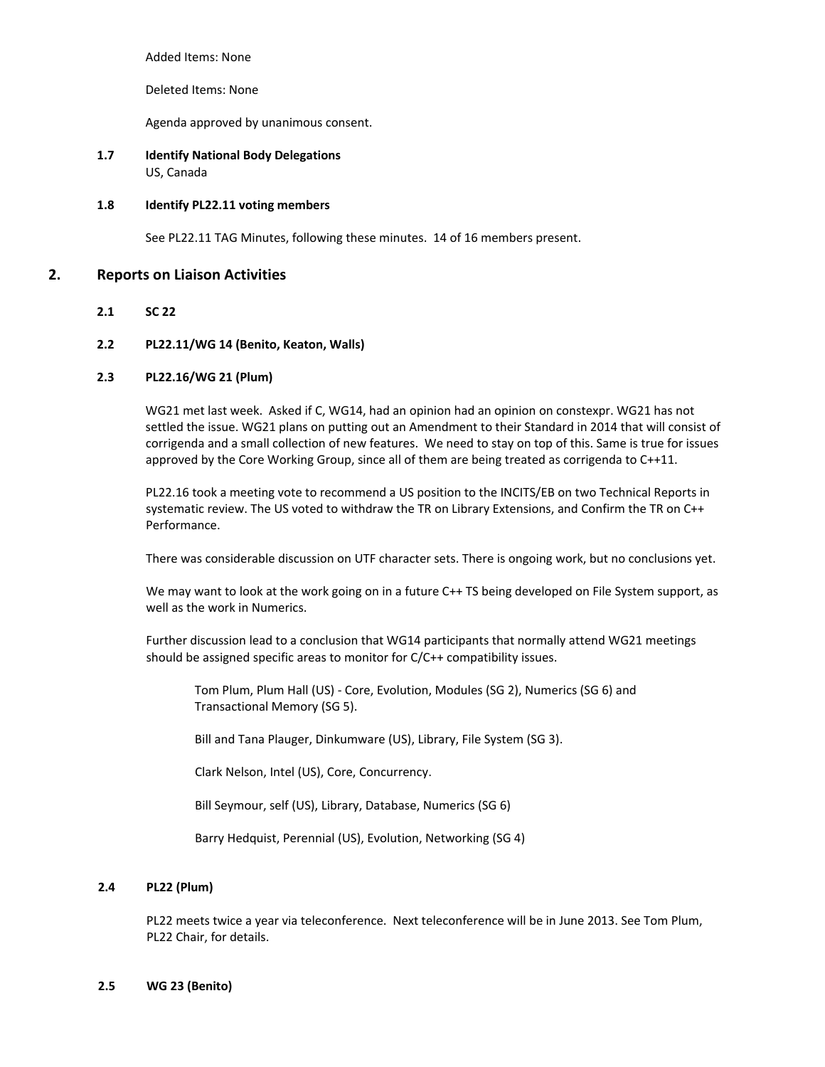Added Items: None

Deleted Items: None

Agenda approved by unanimous consent.

**1.7 Identify National Body Delegations** US, Canada

## **1.8 Identify PL22.11 voting members**

See PL22.11 TAG Minutes, following these minutes. 14 of 16 members present.

# **2. Reports on Liaison Activities**

**2.1 SC 22**

## **2.2 PL22.11/WG 14 (Benito, Keaton, Walls)**

## **2.3 PL22.16/WG 21 (Plum)**

WG21 met last week. Asked if C, WG14, had an opinion had an opinion on constexpr. WG21 has not settled the issue. WG21 plans on putting out an Amendment to their Standard in 2014 that will consist of corrigenda and a small collection of new features. We need to stay on top of this. Same is true for issues approved by the Core Working Group, since all of them are being treated as corrigenda to C++11.

PL22.16 took a meeting vote to recommend a US position to the INCITS/EB on two Technical Reports in systematic review. The US voted to withdraw the TR on Library Extensions, and Confirm the TR on C++ Performance.

There was considerable discussion on UTF character sets. There is ongoing work, but no conclusions yet.

We may want to look at the work going on in a future C++ TS being developed on File System support, as well as the work in Numerics.

Further discussion lead to a conclusion that WG14 participants that normally attend WG21 meetings should be assigned specific areas to monitor for C/C++ compatibility issues.

Tom Plum, Plum Hall (US) ‐ Core, Evolution, Modules (SG 2), Numerics (SG 6) and Transactional Memory (SG 5).

Bill and Tana Plauger, Dinkumware (US), Library, File System (SG 3).

Clark Nelson, Intel (US), Core, Concurrency.

Bill Seymour, self (US), Library, Database, Numerics (SG 6)

Barry Hedquist, Perennial (US), Evolution, Networking (SG 4)

#### **2.4 PL22 (Plum)**

PL22 meets twice a year via teleconference. Next teleconference will be in June 2013. See Tom Plum, PL22 Chair, for details.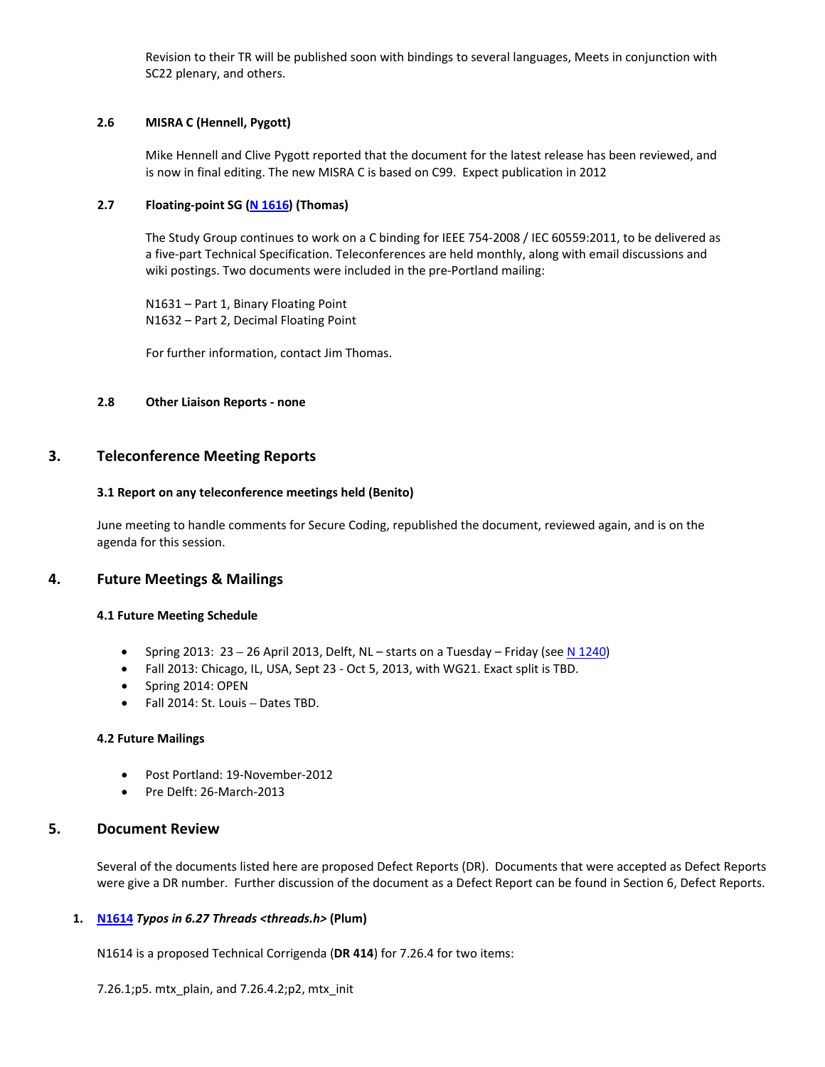Revision to their TR will be published soon with bindings to several languages, Meets in conjunction with SC22 plenary, and others.

# **2.6 MISRA C (Hennell, Pygott)**

Mike Hennell and Clive Pygott reported that the document for the latest release has been reviewed, and is now in final editing. The new MISRA C is based on C99. Expect publication in 2012

# **2.7 Floating‐point SG (N [1616](http://open-std.org/twiki/pub/WG14/Agenda/n1616.pdf)) (Thomas)**

The Study Group continues to work on a C binding for IEEE 754‐2008 / IEC 60559:2011, to be delivered as a five‐part Technical Specification. Teleconferences are held monthly, along with email discussions and wiki postings. Two documents were included in the pre-Portland mailing:

N1631 – Part 1, Binary Floating Point N1632 – Part 2, Decimal Floating Point

For further information, contact Jim Thomas.

# **2.8 Other Liaison Reports ‐ none**

# **3. Teleconference Meeting Reports**

# **3.1 Report on any teleconference meetings held (Benito)**

June meeting to handle comments for Secure Coding, republished the document, reviewed again, and is on the agenda for this session.

# **4. Future Meetings & Mailings**

# **4.1 Future Meeting Schedule**

- Spring 2013:  $23 26$  April 2013, Delft, NL starts on a Tuesday Friday (see N [1240\)](http://www.open-std.org/jtc1/sc22/wg14/www/docs/n1240.pdf)
- Fall 2013: Chicago, IL, USA, Sept 23 ‐ Oct 5, 2013, with WG21. Exact split is TBD.
- Spring 2014: OPEN
- Fall 2014: St. Louis Dates TBD.

#### **4.2 Future Mailings**

- Post Portland: 19‐November‐2012
- Pre Delft: 26‐March‐2013

# **5. Document Review**

Several of the documents listed here are proposed Defect Reports (DR). Documents that were accepted as Defect Reports were give a DR number. Further discussion of the document as a Defect Report can be found in Section 6, Defect Reports.

# **1. [N1614](http://open-std.org/twiki/pub/WG14/Agenda/n1614.htm)** *Typos in 6.27 Threads <threads.h>* **(Plum)**

N1614 is a proposed Technical Corrigenda (**DR 414**) for 7.26.4 for two items:

7.26.1;p5. mtx\_plain, and 7.26.4.2;p2, mtx\_init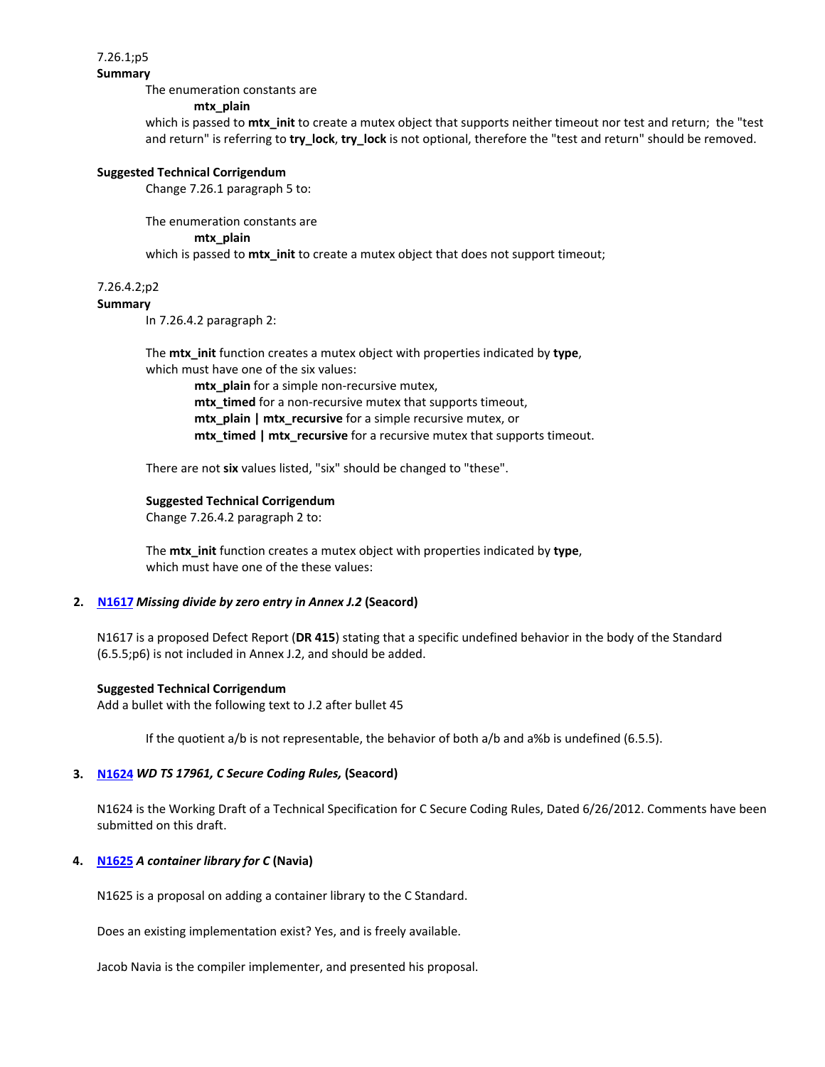7.26.1;p5

**Summary**

The enumeration constants are

#### **mtx\_plain**

which is passed to **mtx\_init** to create a mutex object that supports neither timeout nor test and return; the "test and return" is referring to **try\_lock**, **try\_lock** is not optional, therefore the "test and return" should be removed.

#### **Suggested Technical Corrigendum**

Change 7.26.1 paragraph 5 to:

The enumeration constants are

#### **mtx\_plain**

which is passed to **mtx\_init** to create a mutex object that does not support timeout;

# 7.26.4.2;p2

# **Summary**

In 7.26.4.2 paragraph 2:

 The **mtx\_init** function creates a mutex object with properties indicated by **type**, which must have one of the six values:

mtx\_plain for a simple non-recursive mutex, mtx\_timed for a non-recursive mutex that supports timeout, **mtx** plain | mtx recursive for a simple recursive mutex, or  **mtx\_timed | mtx\_recursive** for a recursive mutex that supports timeout.

There are not **six** values listed, "six" should be changed to "these".

#### **Suggested Technical Corrigendum**

Change 7.26.4.2 paragraph 2 to:

 The **mtx\_init** function creates a mutex object with properties indicated by **type**, which must have one of the these values:

#### **2. [N1617](http://open-std.org/twiki/pub/WG14/Agenda/n1617.htm)** *Missing divide by zero entry in Annex J.2* **(Seacord)**

N1617 is a proposed Defect Report (**DR 415**) stating that a specific undefined behavior in the body of the Standard (6.5.5;p6) is not included in Annex J.2, and should be added.

#### **Suggested Technical Corrigendum**

Add a bullet with the following text to J.2 after bullet 45

If the quotient a/b is not representable, the behavior of both a/b and a%b is undefined (6.5.5).

#### **3. [N1624](http://open-std.org/twiki/pub/WG14/Agenda/n1624.pdf)** *WD TS 17961, C Secure Coding Rules,* **(Seacord)**

N1624 is the Working Draft of a Technical Specification for C Secure Coding Rules, Dated 6/26/2012. Comments have been submitted on this draft.

# **4. [N1625](http://open-std.org/twiki/pub/WG14/Agenda/n1625.pdf)** *A container library for C* **(Navia)**

N1625 is a proposal on adding a container library to the C Standard.

Does an existing implementation exist? Yes, and is freely available.

Jacob Navia is the compiler implementer, and presented his proposal.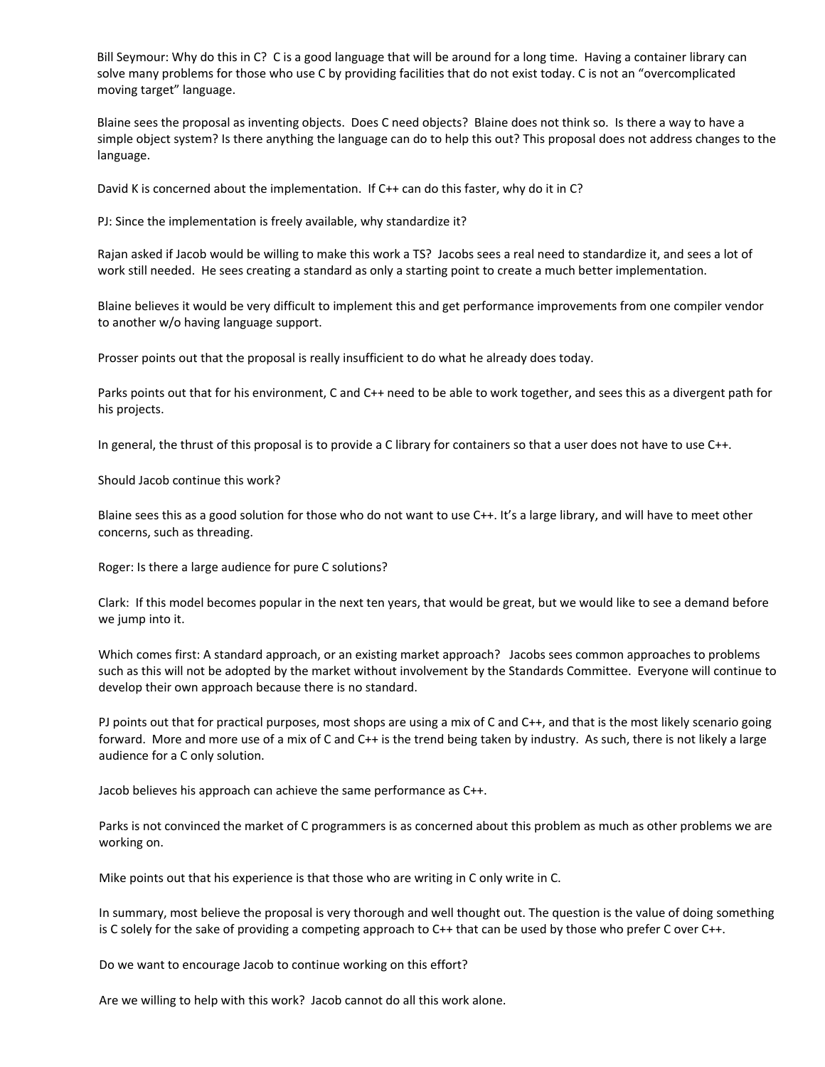Bill Seymour: Why do this in C? C is a good language that will be around for a long time. Having a container library can solve many problems for those who use C by providing facilities that do not exist today. C is not an "overcomplicated moving target" language.

Blaine sees the proposal as inventing objects. Does C need objects? Blaine does not think so. Is there a way to have a simple object system? Is there anything the language can do to help this out? This proposal does not address changes to the language.

David K is concerned about the implementation. If C++ can do this faster, why do it in C?

PJ: Since the implementation is freely available, why standardize it?

Rajan asked if Jacob would be willing to make this work a TS? Jacobs sees a real need to standardize it, and sees a lot of work still needed. He sees creating a standard as only a starting point to create a much better implementation.

Blaine believes it would be very difficult to implement this and get performance improvements from one compiler vendor to another w/o having language support.

Prosser points out that the proposal is really insufficient to do what he already does today.

Parks points out that for his environment, C and C++ need to be able to work together, and sees this as a divergent path for his projects.

In general, the thrust of this proposal is to provide a C library for containers so that a user does not have to use C++.

Should Jacob continue this work?

Blaine sees this as a good solution for those who do not want to use C++. It's a large library, and will have to meet other concerns, such as threading.

Roger: Is there a large audience for pure C solutions?

Clark: If this model becomes popular in the next ten years, that would be great, but we would like to see a demand before we jump into it.

Which comes first: A standard approach, or an existing market approach? Jacobs sees common approaches to problems such as this will not be adopted by the market without involvement by the Standards Committee. Everyone will continue to develop their own approach because there is no standard.

PJ points out that for practical purposes, most shops are using a mix of C and C++, and that is the most likely scenario going forward. More and more use of a mix of C and C++ is the trend being taken by industry. As such, there is not likely a large audience for a C only solution.

Jacob believes his approach can achieve the same performance as C++.

Parks is not convinced the market of C programmers is as concerned about this problem as much as other problems we are working on.

Mike points out that his experience is that those who are writing in C only write in C.

In summary, most believe the proposal is very thorough and well thought out. The question is the value of doing something is C solely for the sake of providing a competing approach to C++ that can be used by those who prefer C over C++.

Do we want to encourage Jacob to continue working on this effort?

Are we willing to help with this work? Jacob cannot do all this work alone.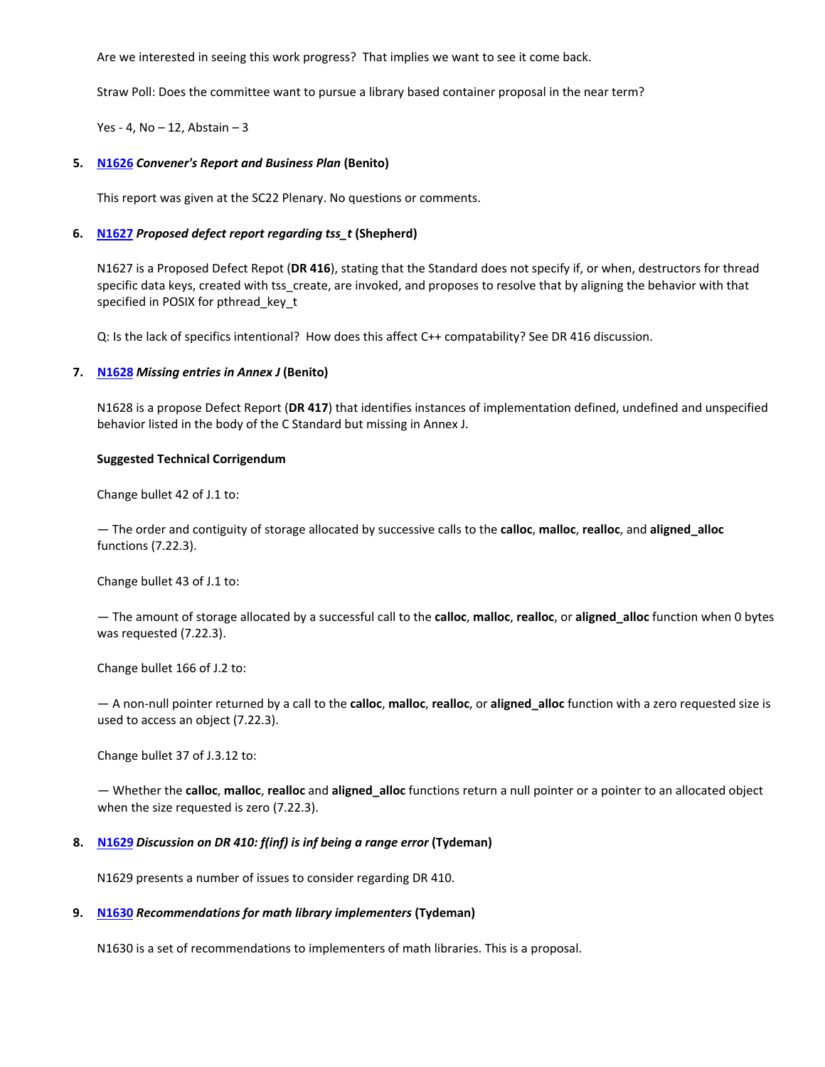Are we interested in seeing this work progress? That implies we want to see it come back.

Straw Poll: Does the committee want to pursue a library based container proposal in the near term?

Yes - 4,  $No - 12$ , Abstain  $-3$ 

#### **5. [N1626](http://open-std.org/twiki/pub/WG14/Agenda/n1626.pdf)** *Convener's Report and Business Plan* **(Benito)**

This report was given at the SC22 Plenary. No questions or comments.

## **6. [N1627](http://open-std.org/twiki/pub/WG14/Agenda/n1627.htm)** *Proposed defect report regarding tss\_t* **(Shepherd)**

N1627 is a Proposed Defect Repot (**DR 416**), stating that the Standard does not specify if, or when, destructors for thread specific data keys, created with tss create, are invoked, and proposes to resolve that by aligning the behavior with that specified in POSIX for pthread key t

Q: Is the lack of specifics intentional? How does this affect C++ compatability? See DR 416 discussion.

## **7. [N1628](http://open-std.org/twiki/pub/WG14/Agenda/n1628.htm)** *Missing entries in Annex J* **(Benito)**

N1628 is a propose Defect Report (**DR 417**) that identifies instances of implementation defined, undefined and unspecified behavior listed in the body of the C Standard but missing in Annex J.

#### **Suggested Technical Corrigendum**

Change bullet 42 of J.1 to:

— The order and contiguity of storage allocated by successive calls to the **calloc**, **malloc**, **realloc**, and **aligned\_alloc** functions (7.22.3).

Change bullet 43 of J.1 to:

— The amount of storage allocated by a successful call to the **calloc**, **malloc**, **realloc**, or **aligned\_alloc** function when 0 bytes was requested (7.22.3).

Change bullet 166 of J.2 to:

— A non‐null pointer returned by a call to the **calloc**, **malloc**, **realloc**, or **aligned\_alloc** function with a zero requested size is used to access an object (7.22.3).

Change bullet 37 of J.3.12 to:

— Whether the **calloc**, **malloc**, **realloc** and **aligned\_alloc** functions return a null pointer or a pointer to an allocated object when the size requested is zero (7.22.3).

#### **8. [N1629](http://open-std.org/twiki/pub/WG14/Agenda/n1629.htm)** *Discussion on DR 410: f(inf) is inf being a range error* **(Tydeman)**

N1629 presents a number of issues to consider regarding DR 410.

#### **9. [N1630](http://open-std.org/twiki/pub/WG14/Agenda/n1630.htm)** *Recommendations for math library implementers* **(Tydeman)**

N1630 is a set of recommendations to implementers of math libraries. This is a proposal.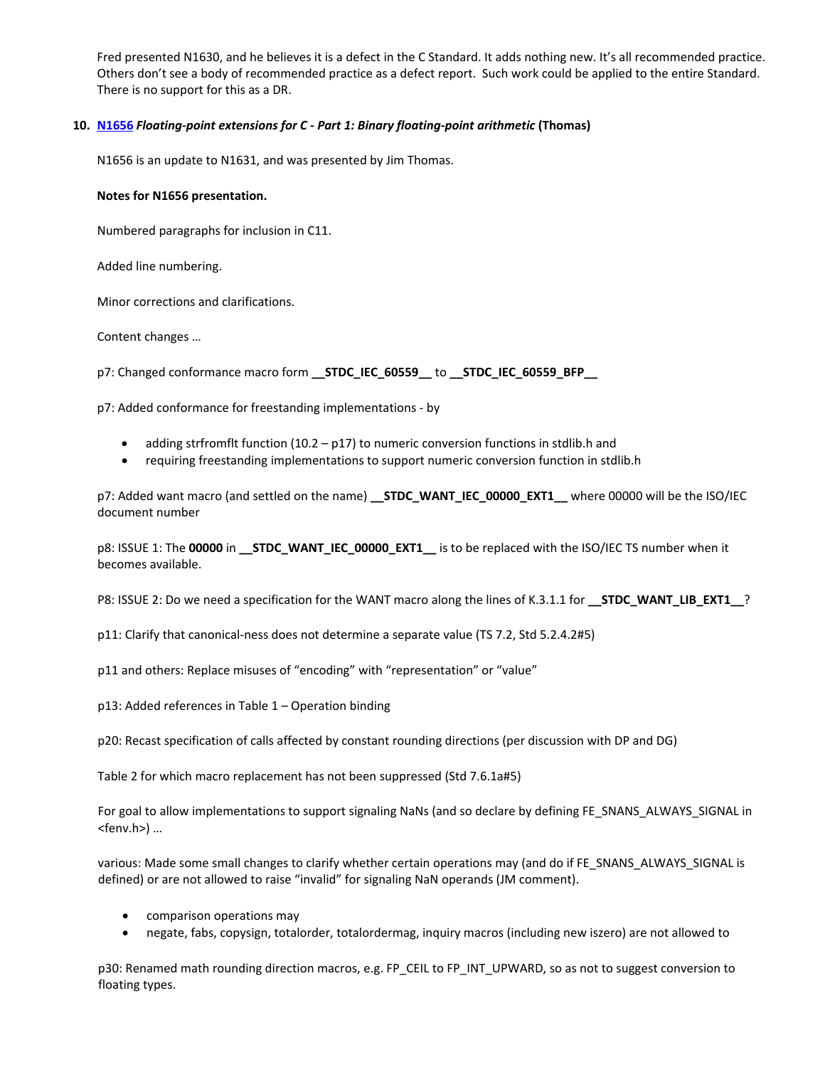Fred presented N1630, and he believes it is a defect in the C Standard. It adds nothing new. It's all recommended practice. Others don't see a body of recommended practice as a defect report. Such work could be applied to the entire Standard. There is no support for this as a DR.

# **10. [N1656](http://open-std.org/twiki/pub/WG14/Agenda/n1631.pdf)** *Floating‐point extensions for C ‐ Part 1: Binary floating‐point arithmetic* **(Thomas)**

N1656 is an update to N1631, and was presented by Jim Thomas.

#### **Notes for N1656 presentation.**

Numbered paragraphs for inclusion in C11.

Added line numbering.

Minor corrections and clarifications.

Content changes …

p7: Changed conformance macro form **\_\_STDC\_IEC\_60559\_\_** to **\_\_STDC\_IEC\_60559\_BFP\_\_**

p7: Added conformance for freestanding implementations ‐ by

- adding strfromflt function  $(10.2 p17)$  to numeric conversion functions in stdlib.h and
- requiring freestanding implementations to support numeric conversion function in stdlib.h

p7: Added want macro (and settled on the name) **\_\_STDC\_WANT\_IEC\_00000\_EXT1\_\_** where 00000 will be the ISO/IEC document number

p8: ISSUE 1: The **00000** in **\_\_STDC\_WANT\_IEC\_00000\_EXT1\_\_** is to be replaced with the ISO/IEC TS number when it becomes available.

P8: ISSUE 2: Do we need a specification for the WANT macro along the lines of K.3.1.1 for **\_\_STDC\_WANT\_LIB\_EXT1\_\_**?

p11: Clarify that canonical‐ness does not determine a separate value (TS 7.2, Std 5.2.4.2#5)

p11 and others: Replace misuses of "encoding" with "representation" or "value"

p13: Added references in Table 1 – Operation binding

p20: Recast specification of calls affected by constant rounding directions (per discussion with DP and DG)

Table 2 for which macro replacement has not been suppressed (Std 7.6.1a#5)

For goal to allow implementations to support signaling NaNs (and so declare by defining FE\_SNANS\_ALWAYS\_SIGNAL in <fenv.h>) …

various: Made some small changes to clarify whether certain operations may (and do if FE\_SNANS\_ALWAYS\_SIGNAL is defined) or are not allowed to raise "invalid" for signaling NaN operands (JM comment).

- comparison operations may
- negate, fabs, copysign, totalorder, totalordermag, inquiry macros (including new iszero) are not allowed to

p30: Renamed math rounding direction macros, e.g. FP\_CEIL to FP\_INT\_UPWARD, so as not to suggest conversion to floating types.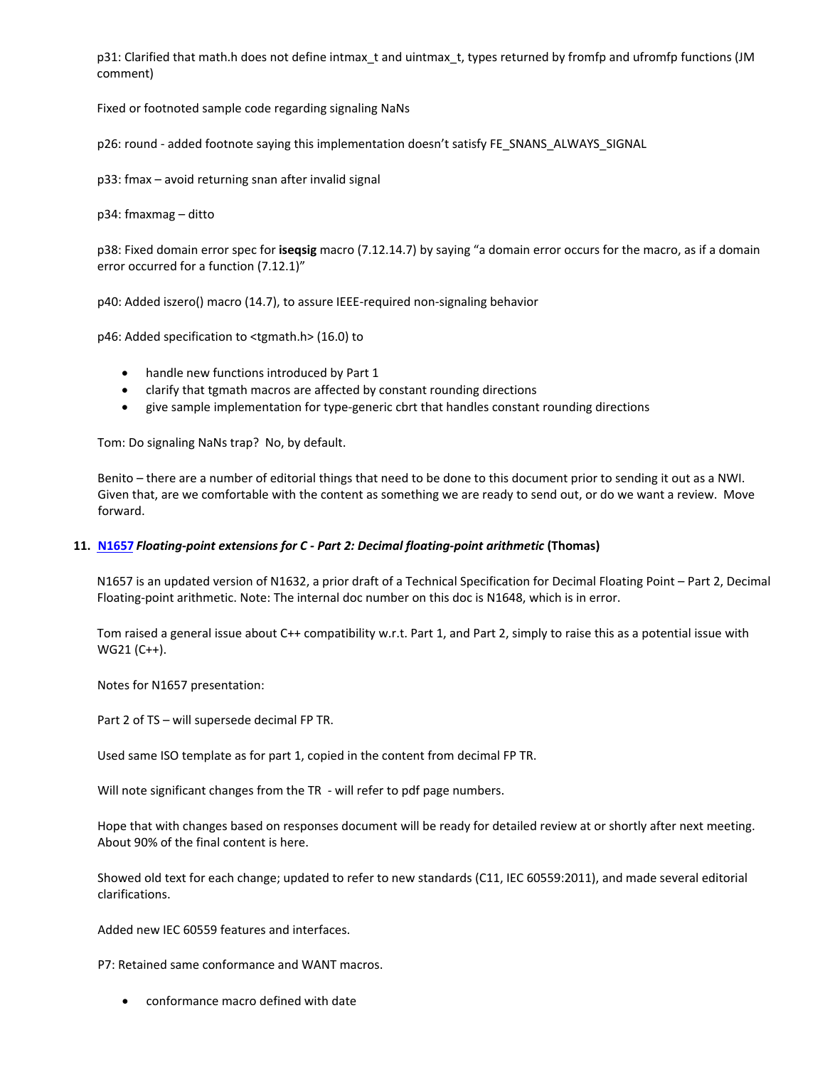p31: Clarified that math.h does not define intmax\_t and uintmax\_t, types returned by fromfp and ufromfp functions (JM comment)

Fixed or footnoted sample code regarding signaling NaNs

p26: round - added footnote saying this implementation doesn't satisfy FE\_SNANS\_ALWAYS\_SIGNAL

p33: fmax – avoid returning snan after invalid signal

p34: fmaxmag – ditto

p38: Fixed domain error spec for **iseqsig** macro (7.12.14.7) by saying "a domain error occurs for the macro, as if a domain error occurred for a function (7.12.1)"

p40: Added iszero() macro (14.7), to assure IEEE‐required non‐signaling behavior

p46: Added specification to <tgmath.h> (16.0) to

- handle new functions introduced by Part 1
- clarify that tgmath macros are affected by constant rounding directions
- give sample implementation for type‐generic cbrt that handles constant rounding directions

Tom: Do signaling NaNs trap? No, by default.

Benito – there are a number of editorial things that need to be done to this document prior to sending it out as a NWI. Given that, are we comfortable with the content as something we are ready to send out, or do we want a review. Move forward.

#### **11. [N1657](http://open-std.org/twiki/pub/WG14/Agenda/n1632.pdf)** *Floating‐point extensions for C ‐ Part 2: Decimal floating‐point arithmetic* **(Thomas)**

N1657 is an updated version of N1632, a prior draft of a Technical Specification for Decimal Floating Point – Part 2, Decimal Floating‐point arithmetic. Note: The internal doc number on this doc is N1648, which is in error.

Tom raised a general issue about C++ compatibility w.r.t. Part 1, and Part 2, simply to raise this as a potential issue with WG21 (C++).

Notes for N1657 presentation:

Part 2 of TS – will supersede decimal FP TR.

Used same ISO template as for part 1, copied in the content from decimal FP TR.

Will note significant changes from the TR - will refer to pdf page numbers.

Hope that with changes based on responses document will be ready for detailed review at or shortly after next meeting. About 90% of the final content is here.

Showed old text for each change; updated to refer to new standards (C11, IEC 60559:2011), and made several editorial clarifications.

Added new IEC 60559 features and interfaces.

P7: Retained same conformance and WANT macros.

• conformance macro defined with date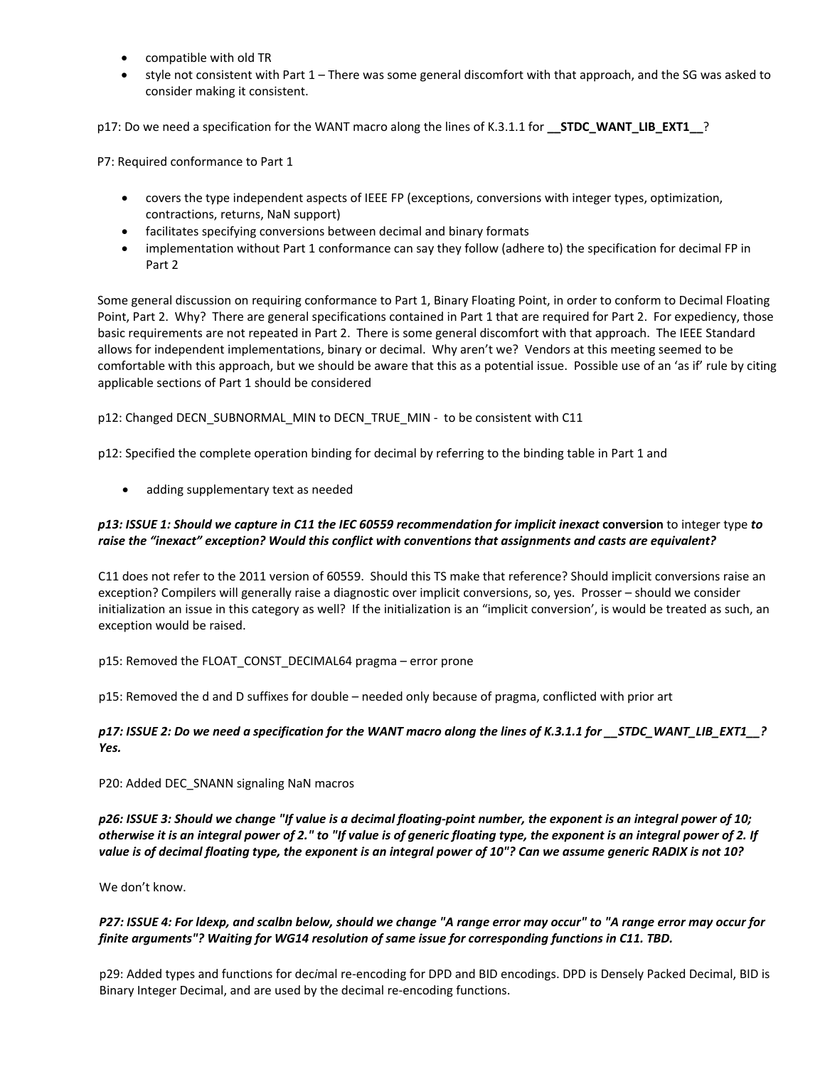- compatible with old TR
- style not consistent with Part 1 There was some general discomfort with that approach, and the SG was asked to consider making it consistent.

p17: Do we need a specification for the WANT macro along the lines of K.3.1.1 for **\_\_STDC\_WANT\_LIB\_EXT1\_\_**?

P7: Required conformance to Part 1

- covers the type independent aspects of IEEE FP (exceptions, conversions with integer types, optimization, contractions, returns, NaN support)
- facilitates specifying conversions between decimal and binary formats
- implementation without Part 1 conformance can say they follow (adhere to) the specification for decimal FP in Part 2

Some general discussion on requiring conformance to Part 1, Binary Floating Point, in order to conform to Decimal Floating Point, Part 2. Why? There are general specifications contained in Part 1 that are required for Part 2. For expediency, those basic requirements are not repeated in Part 2. There is some general discomfort with that approach. The IEEE Standard allows for independent implementations, binary or decimal. Why aren't we? Vendors at this meeting seemed to be comfortable with this approach, but we should be aware that this as a potential issue. Possible use of an 'as if' rule by citing applicable sections of Part 1 should be considered

p12: Changed DECN\_SUBNORMAL\_MIN to DECN\_TRUE\_MIN ‐ to be consistent with C11

p12: Specified the complete operation binding for decimal by referring to the binding table in Part 1 and

• adding supplementary text as needed

# p13: ISSUE 1: Should we capture in C11 the IEC 60559 recommendation for implicit inexact conversion to integer type to *raise the "inexact" exception? Would this conflict with conventions that assignments and casts are equivalent?*

C11 does not refer to the 2011 version of 60559. Should this TS make that reference? Should implicit conversions raise an exception? Compilers will generally raise a diagnostic over implicit conversions, so, yes. Prosser – should we consider initialization an issue in this category as well? If the initialization is an "implicit conversion', is would be treated as such, an exception would be raised.

# p15: Removed the FLOAT\_CONST\_DECIMAL64 pragma – error prone

p15: Removed the d and D suffixes for double – needed only because of pragma, conflicted with prior art

# p17: ISSUE 2: Do we need a specification for the WANT macro along the lines of K.3.1.1 for STDC WANT LIB EXT1 ? *Yes.*

#### P20: Added DEC\_SNANN signaling NaN macros

p26: ISSUE 3: Should we change "If value is a decimal floating-point number, the exponent is an integral power of 10; otherwise it is an integral power of 2." to "If value is of generic floating type, the exponent is an integral power of 2. If value is of decimal floating type, the exponent is an integral power of 10"? Can we assume generic RADIX is not 10?

We don't know.

# P27: ISSUE 4: For Idexp, and scalbn below, should we change "A range error may occur" to "A range error may occur for *finite arguments"? Waiting for WG14 resolution of same issue for corresponding functions in C11. TBD.*

p29: Added types and functions for dec*i*mal re‐encoding for DPD and BID encodings. DPD is Densely Packed Decimal, BID is Binary Integer Decimal, and are used by the decimal re‐encoding functions.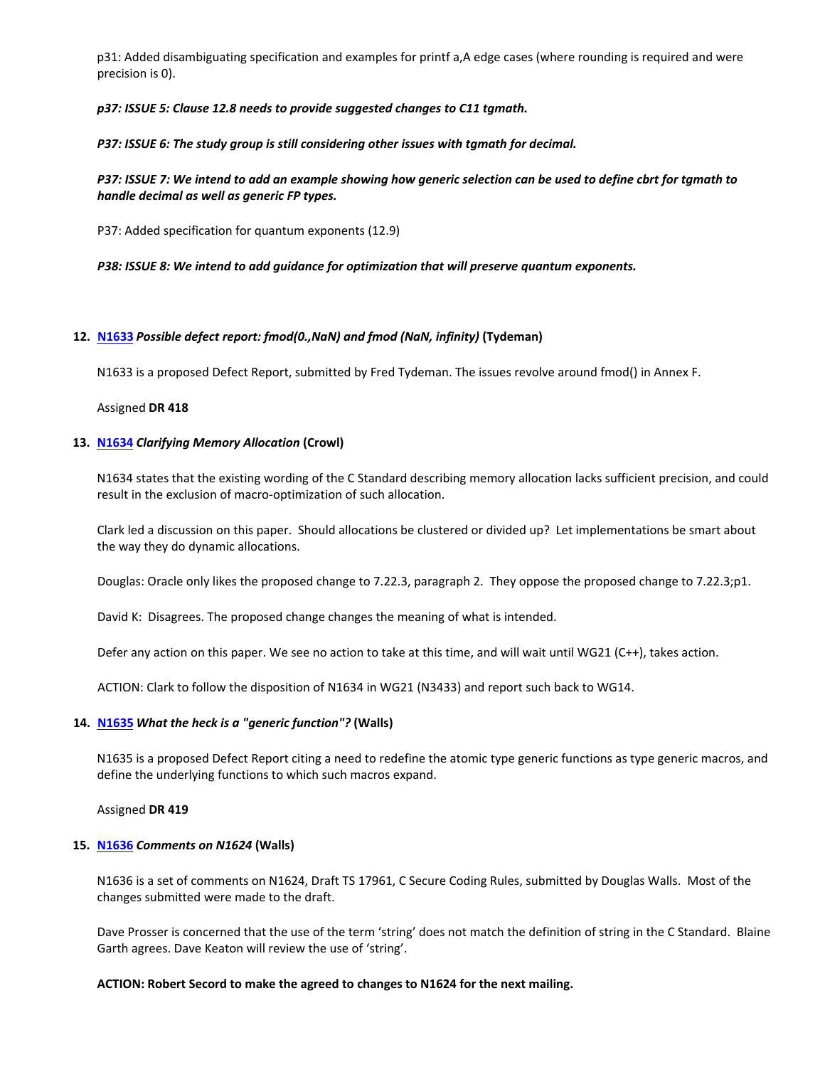p31: Added disambiguating specification and examples for printf a,A edge cases (where rounding is required and were precision is 0).

*p37: ISSUE 5: Clause 12.8 needs to provide suggested changes to C11 tgmath.*

*P37: ISSUE 6: The study group is still considering other issues with tgmath for decimal.*

P37: ISSUE 7: We intend to add an example showing how generic selection can be used to define cbrt for tamath to *handle decimal as well as generic FP types.*

P37: Added specification for quantum exponents (12.9)

*P38: ISSUE 8: We intend to add guidance for optimization that will preserve quantum exponents.*

#### **12. [N1633](http://open-std.org/twiki/pub/WG14/Agenda/n1633.htm)** *Possible defect report: fmod(0.,NaN) and fmod (NaN, infinity)* **(Tydeman)**

N1633 is a proposed Defect Report, submitted by Fred Tydeman. The issues revolve around fmod() in Annex F.

Assigned **DR 418**

#### **13. [N1634](http://open-std.org/twiki/pub/WG14/Agenda/n1634.htm)** *Clarifying Memory Allocation* **(Crowl)**

N1634 states that the existing wording of the C Standard describing memory allocation lacks sufficient precision, and could result in the exclusion of macro‐optimization of such allocation.

Clark led a discussion on this paper. Should allocations be clustered or divided up? Let implementations be smart about the way they do dynamic allocations.

Douglas: Oracle only likes the proposed change to 7.22.3, paragraph 2. They oppose the proposed change to 7.22.3;p1.

David K: Disagrees. The proposed change changes the meaning of what is intended.

Defer any action on this paper. We see no action to take at this time, and will wait until WG21 (C++), takes action.

ACTION: Clark to follow the disposition of N1634 in WG21 (N3433) and report such back to WG14.

#### **14. [N1635](http://open-std.org/twiki/pub/WG14/Agenda/n1635.htm)** *What the heck is a "generic function"?* **(Walls)**

N1635 is a proposed Defect Report citing a need to redefine the atomic type generic functions as type generic macros, and define the underlying functions to which such macros expand.

Assigned **DR 419**

#### **15. [N1636](http://open-std.org/twiki/pub/WG14/Agenda/n1636.xls)** *Comments on N1624* **(Walls)**

N1636 is a set of comments on N1624, Draft TS 17961, C Secure Coding Rules, submitted by Douglas Walls. Most of the changes submitted were made to the draft.

Dave Prosser is concerned that the use of the term 'string' does not match the definition of string in the C Standard. Blaine Garth agrees. Dave Keaton will review the use of 'string'.

#### **ACTION: Robert Secord to make the agreed to changes to N1624 for the next mailing.**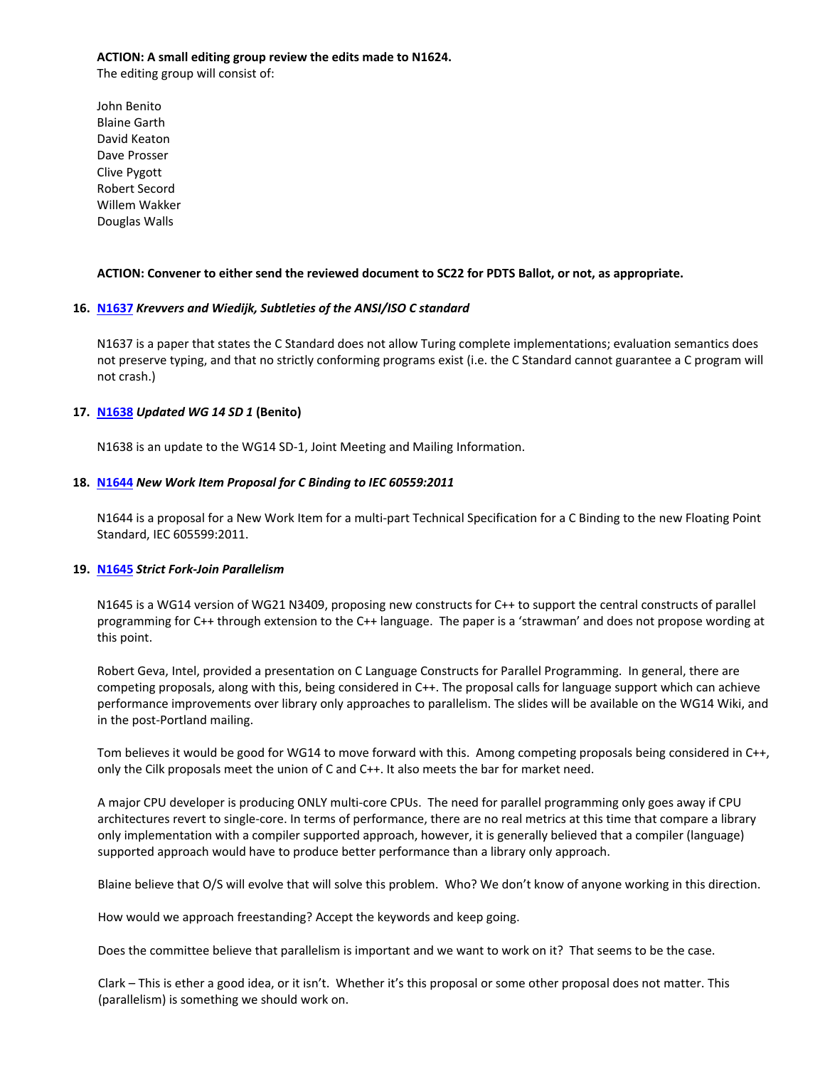#### **ACTION: A small editing group review the edits made to N1624.**

The editing group will consist of:

John Benito Blaine Garth David Keaton Dave Prosser Clive Pygott Robert Secord Willem Wakker Douglas Walls

## **ACTION: Convener to either send the reviewed document to SC22 for PDTS Ballot, or not, as appropriate.**

## **16. [N1637](http://open-std.org/twiki/pub/WG14/Agenda/n1637.pdf)** *Krevvers and Wiedijk, Subtleties of the ANSI/ISO C standard*

N1637 is a paper that states the C Standard does not allow Turing complete implementations; evaluation semantics does not preserve typing, and that no strictly conforming programs exist (i.e. the C Standard cannot guarantee a C program will not crash.)

## **17. [N1638](http://open-std.org/twiki/pub/WG14/Agenda/n1638.htm)** *Updated WG 14 SD 1* **(Benito)**

N1638 is an update to the WG14 SD-1, Joint Meeting and Mailing Information.

## **18. [N1644](http://open-std.org/twiki/pub/WG14/Documents/n1644.pdf)** *New Work Item Proposal for C Binding to IEC 60559:2011*

N1644 is a proposal for a New Work Item for a multi‐part Technical Specification for a C Binding to the new Floating Point Standard, IEC 605599:2011.

#### **19. [N1645](http://open-std.org/twiki/pub/WG14/Documents/cilk_n3409.pdf)** *Strict Fork‐Join Parallelism*

N1645 is a WG14 version of WG21 N3409, proposing new constructs for C++ to support the central constructs of parallel programming for C++ through extension to the C++ language. The paper is a 'strawman' and does not propose wording at this point.

Robert Geva, Intel, provided a presentation on C Language Constructs for Parallel Programming. In general, there are competing proposals, along with this, being considered in C++. The proposal calls for language support which can achieve performance improvements over library only approaches to parallelism. The slides will be available on the WG14 Wiki, and in the post‐Portland mailing.

Tom believes it would be good for WG14 to move forward with this. Among competing proposals being considered in C++, only the Cilk proposals meet the union of C and C++. It also meets the bar for market need.

A major CPU developer is producing ONLY multi‐core CPUs. The need for parallel programming only goes away if CPU architectures revert to single‐core. In terms of performance, there are no real metrics at this time that compare a library only implementation with a compiler supported approach, however, it is generally believed that a compiler (language) supported approach would have to produce better performance than a library only approach.

Blaine believe that O/S will evolve that will solve this problem. Who? We don't know of anyone working in this direction.

How would we approach freestanding? Accept the keywords and keep going.

Does the committee believe that parallelism is important and we want to work on it? That seems to be the case.

Clark – This is ether a good idea, or it isn't. Whether it's this proposal or some other proposal does not matter. This (parallelism) is something we should work on.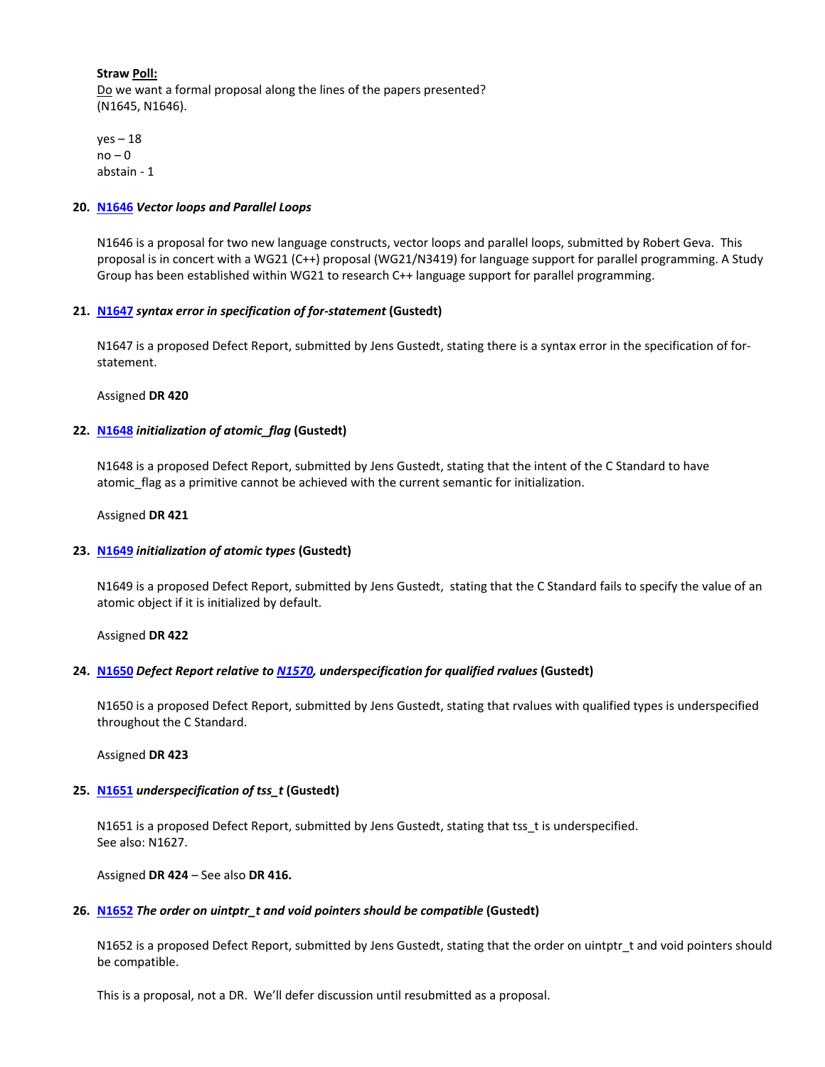**Straw Poll:** Do we want a formal proposal along the lines of the papers presented? (N1645, N1646).

 $yes - 18$  $no - 0$ abstain ‐ 1

#### **20. [N1646](http://open-std.org/twiki/pub/WG14/Documents/cilk_n3419.pdf)** *Vector loops and Parallel Loops*

N1646 is a proposal for two new language constructs, vector loops and parallel loops, submitted by Robert Geva. This proposal is in concert with a WG21 (C++) proposal (WG21/N3419) for language support for parallel programming. A Study Group has been established within WG21 to research C++ language support for parallel programming.

# **21. [N1647](http://open-std.org/twiki/pub/WG14/DefectReports/n1647.htm)** *syntax error in specification of for‐statement* **(Gustedt)**

N1647 is a proposed Defect Report, submitted by Jens Gustedt, stating there is a syntax error in the specification of for‐ statement.

Assigned **DR 420**

## **22. [N1648](http://open-std.org/twiki/pub/WG14/DefectReports/n1648.htm)** *initialization of atomic\_flag* **(Gustedt)**

N1648 is a proposed Defect Report, submitted by Jens Gustedt, stating that the intent of the C Standard to have atomic flag as a primitive cannot be achieved with the current semantic for initialization.

#### Assigned **DR 421**

#### **23. [N1649](http://open-std.org/twiki/pub/WG14/DefectReports/n1649.htm)** *initialization of atomic types* **(Gustedt)**

N1649 is a proposed Defect Report, submitted by Jens Gustedt, stating that the C Standard fails to specify the value of an atomic object if it is initialized by default.

Assigned **DR 422**

#### **24. [N1650](http://open-std.org/twiki/pub/WG14/DefectReports/n1650.htm)** *Defect Report relative to [N1570](http://www.open-std.org/jtc1/sc22/wg14/www/docs/n1570.pdf), underspecification for qualified rvalues* **(Gustedt)**

N1650 is a proposed Defect Report, submitted by Jens Gustedt, stating that rvalues with qualified types is underspecified throughout the C Standard.

Assigned **DR 423**

#### **25. [N1651](http://open-std.org/twiki/pub/WG14/DefectReports/n1651.htm)** *underspecification of tss\_t* **(Gustedt)**

N1651 is a proposed Defect Report, submitted by Jens Gustedt, stating that tss\_t is underspecified. See also: N1627.

Assigned **DR 424** – See also **DR 416.**

#### **26. [N1652](http://open-std.org/twiki/pub/WG14/DefectReports/n1652.htm)** *The order on uintptr\_t and void pointers should be compatible* **(Gustedt)**

N1652 is a proposed Defect Report, submitted by Jens Gustedt, stating that the order on uintptr\_t and void pointers should be compatible.

This is a proposal, not a DR. We'll defer discussion until resubmitted as a proposal.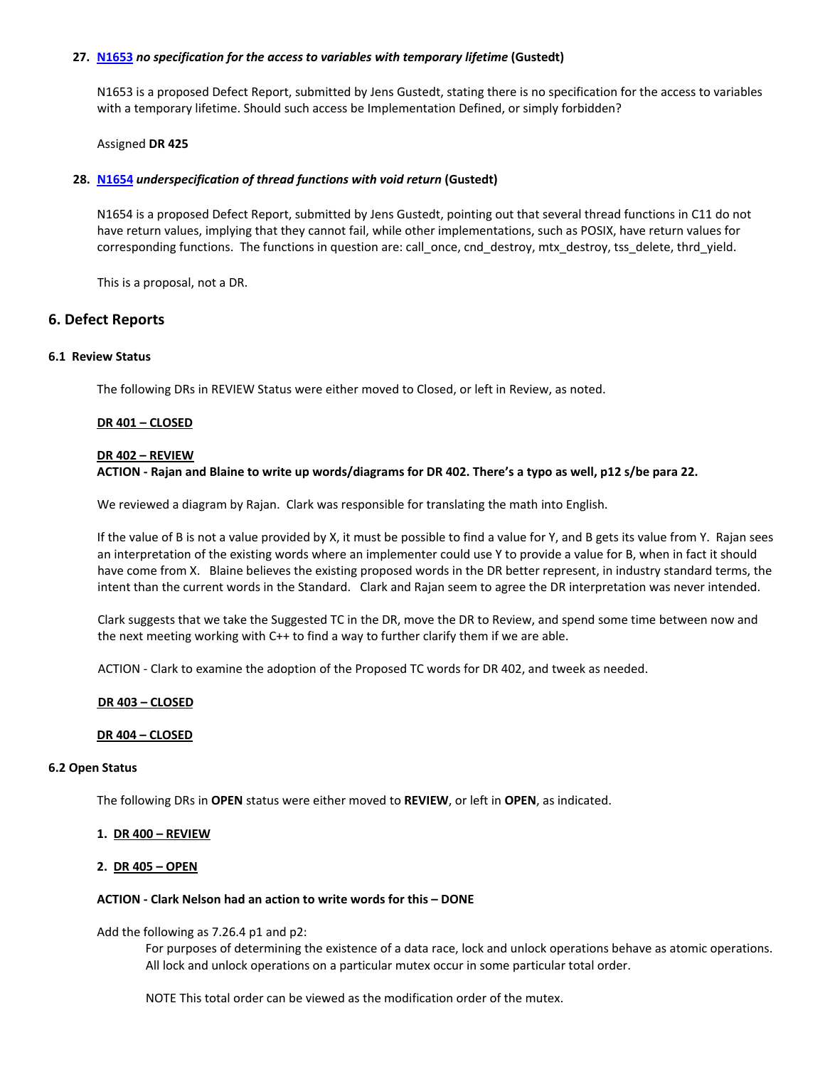#### **27. [N1653](http://open-std.org/twiki/pub/WG14/DefectReports/n1653.htm)** *no specification for the access to variables with temporary lifetime* **(Gustedt)**

N1653 is a proposed Defect Report, submitted by Jens Gustedt, stating there is no specification for the access to variables with a temporary lifetime. Should such access be Implementation Defined, or simply forbidden?

#### Assigned **DR 425**

#### **28. [N1654](http://open-std.org/twiki/pub/WG14/DefectReports/n1654.htm)** *underspecification of thread functions with void return* **(Gustedt)**

N1654 is a proposed Defect Report, submitted by Jens Gustedt, pointing out that several thread functions in C11 do not have return values, implying that they cannot fail, while other implementations, such as POSIX, have return values for corresponding functions. The functions in question are: call\_once, cnd\_destroy, mtx\_destroy, tss\_delete, thrd\_yield.

This is a proposal, not a DR.

# **6. Defect Reports**

#### **6.1 Review Status**

The following DRs in REVIEW Status were either moved to Closed, or left in Review, as noted.

## **DR 401 – CLOSED**

#### **DR 402 – REVIEW**

# ACTION - Rajan and Blaine to write up words/diagrams for DR 402. There's a typo as well, p12 s/be para 22.

We reviewed a diagram by Rajan. Clark was responsible for translating the math into English.

If the value of B is not a value provided by X, it must be possible to find a value for Y, and B gets its value from Y. Rajan sees an interpretation of the existing words where an implementer could use Y to provide a value for B, when in fact it should have come from X. Blaine believes the existing proposed words in the DR better represent, in industry standard terms, the intent than the current words in the Standard. Clark and Rajan seem to agree the DR interpretation was never intended.

Clark suggests that we take the Suggested TC in the DR, move the DR to Review, and spend some time between now and the next meeting working with C++ to find a way to further clarify them if we are able.

ACTION ‐ Clark to examine the adoption of the Proposed TC words for DR 402, and tweek as needed.

#### **DR 403 – CLOSED**

#### **DR 404 – CLOSED**

#### **6.2 Open Status**

The following DRs in **OPEN** status were either moved to **REVIEW**, or left in **OPEN**, as indicated.

#### **1. DR 400 – REVIEW**

#### **2. DR 405 – OPEN**

#### **ACTION ‐ Clark Nelson had an action to write words for this – DONE**

Add the following as 7.26.4 p1 and p2:

For purposes of determining the existence of a data race, lock and unlock operations behave as atomic operations. All lock and unlock operations on a particular mutex occur in some particular total order.

NOTE This total order can be viewed as the modification order of the mutex.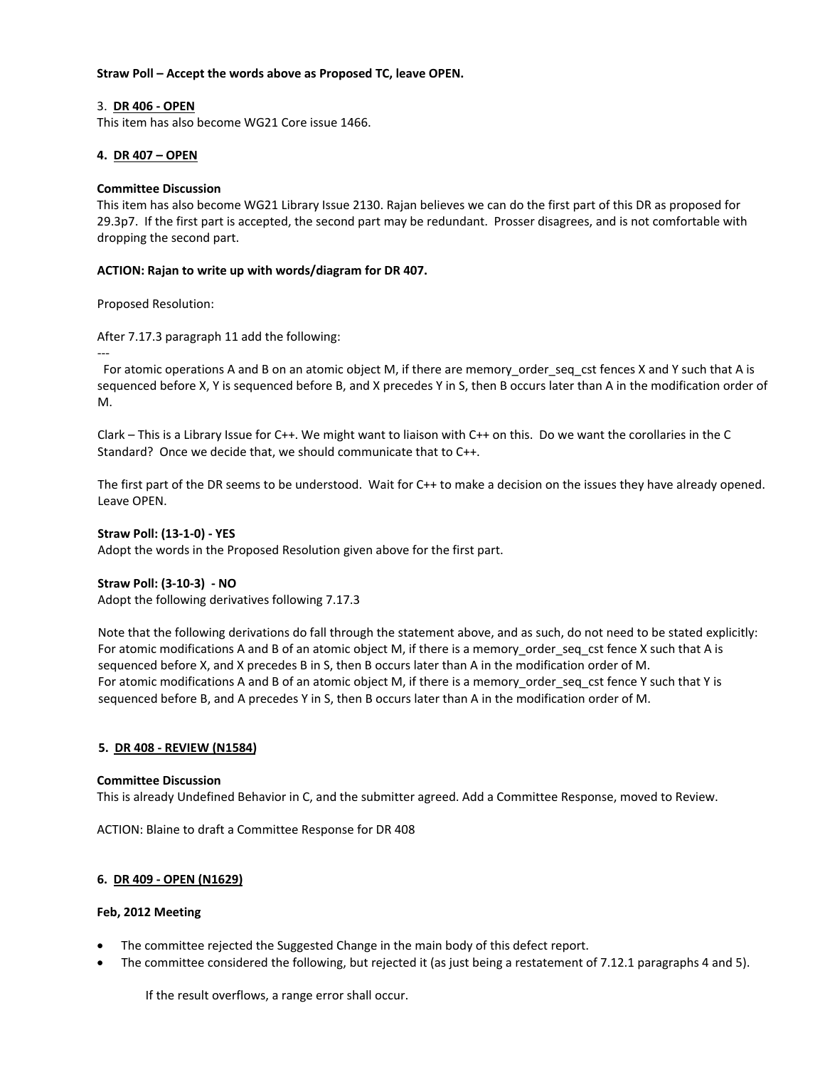#### **Straw Poll – Accept the words above as Proposed TC, leave OPEN.**

## 3. **DR 406 ‐ OPEN**

This item has also become WG21 Core issue 1466.

## **4. DR 407 – OPEN**

#### **Committee Discussion**

This item has also become WG21 Library Issue 2130. Rajan believes we can do the first part of this DR as proposed for 29.3p7. If the first part is accepted, the second part may be redundant. Prosser disagrees, and is not comfortable with dropping the second part.

## **ACTION: Rajan to write up with words/diagram for DR 407.**

Proposed Resolution:

‐‐‐

After 7.17.3 paragraph 11 add the following:

 For atomic operations A and B on an atomic object M, if there are memory\_order\_seq\_cst fences X and Y such that A is sequenced before X, Y is sequenced before B, and X precedes Y in S, then B occurs later than A in the modification order of M.

Clark – This is a Library Issue for C++. We might want to liaison with C++ on this. Do we want the corollaries in the C Standard? Once we decide that, we should communicate that to C++.

The first part of the DR seems to be understood. Wait for C++ to make a decision on the issues they have already opened. Leave OPEN.

#### **Straw Poll: (13‐1‐0) ‐ YES**

Adopt the words in the Proposed Resolution given above for the first part.

#### **Straw Poll: (3‐10‐3) ‐ NO**

Adopt the following derivatives following 7.17.3

Note that the following derivations do fall through the statement above, and as such, do not need to be stated explicitly: For atomic modifications A and B of an atomic object M, if there is a memory\_order\_seq\_cst fence X such that A is sequenced before X, and X precedes B in S, then B occurs later than A in the modification order of M. For atomic modifications A and B of an atomic object M, if there is a memory order seq cst fence Y such that Y is sequenced before B, and A precedes Y in S, then B occurs later than A in the modification order of M.

#### **5. DR 408 ‐ REVIEW (N1584)**

#### **Committee Discussion**

This is already Undefined Behavior in C, and the submitter agreed. Add a Committee Response, moved to Review.

ACTION: Blaine to draft a Committee Response for DR 408

#### **6. DR 409 ‐ OPEN (N1629)**

#### **Feb, 2012 Meeting**

- The committee rejected the Suggested Change in the main body of this defect report.
- The committee considered the following, but rejected it (as just being a restatement of 7.12.1 paragraphs 4 and 5).

If the result overflows, a range error shall occur.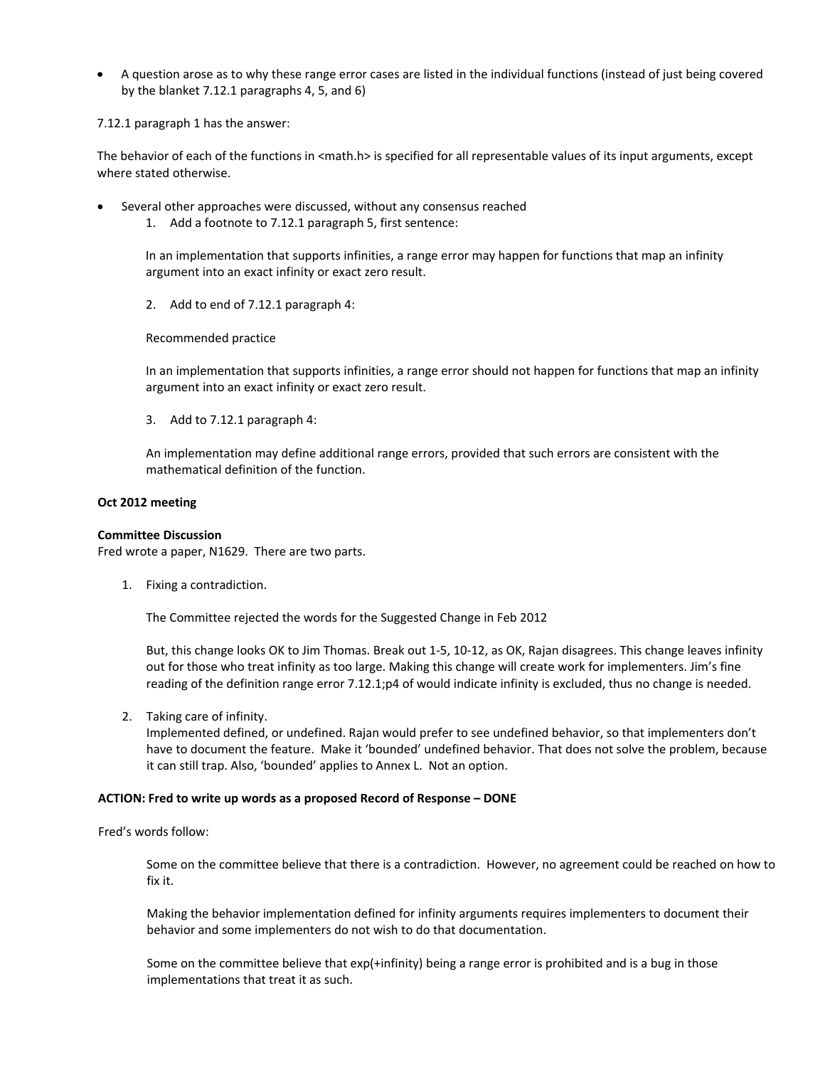• A question arose as to why these range error cases are listed in the individual functions (instead of just being covered by the blanket 7.12.1 paragraphs 4, 5, and 6)

7.12.1 paragraph 1 has the answer:

The behavior of each of the functions in <math.h> is specified for all representable values of its input arguments, except where stated otherwise.

- Several other approaches were discussed, without any consensus reached
	- 1. Add a footnote to 7.12.1 paragraph 5, first sentence:

In an implementation that supports infinities, a range error may happen for functions that map an infinity argument into an exact infinity or exact zero result.

2. Add to end of 7.12.1 paragraph 4:

Recommended practice

In an implementation that supports infinities, a range error should not happen for functions that map an infinity argument into an exact infinity or exact zero result.

3. Add to 7.12.1 paragraph 4:

An implementation may define additional range errors, provided that such errors are consistent with the mathematical definition of the function.

## **Oct 2012 meeting**

#### **Committee Discussion**

Fred wrote a paper, N1629. There are two parts.

1. Fixing a contradiction.

The Committee rejected the words for the Suggested Change in Feb 2012

But, this change looks OK to Jim Thomas. Break out 1‐5, 10‐12, as OK, Rajan disagrees. This change leaves infinity out for those who treat infinity as too large. Making this change will create work for implementers. Jim's fine reading of the definition range error 7.12.1;p4 of would indicate infinity is excluded, thus no change is needed.

2. Taking care of infinity.

Implemented defined, or undefined. Rajan would prefer to see undefined behavior, so that implementers don't have to document the feature. Make it 'bounded' undefined behavior. That does not solve the problem, because it can still trap. Also, 'bounded' applies to Annex L. Not an option.

#### **ACTION: Fred to write up words as a proposed Record of Response – DONE**

Fred's words follow:

Some on the committee believe that there is a contradiction. However, no agreement could be reached on how to fix it.

Making the behavior implementation defined for infinity arguments requires implementers to document their behavior and some implementers do not wish to do that documentation.

Some on the committee believe that exp(+infinity) being a range error is prohibited and is a bug in those implementations that treat it as such.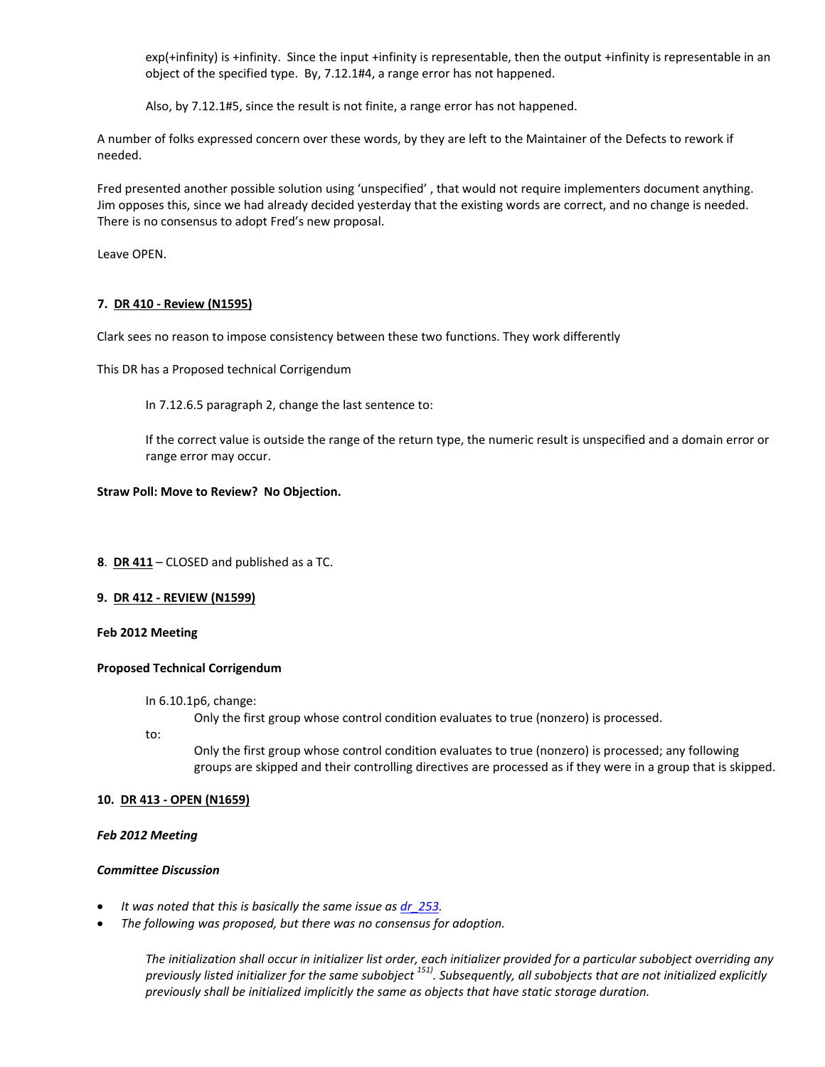exp(+infinity) is +infinity. Since the input +infinity is representable, then the output +infinity is representable in an object of the specified type. By, 7.12.1#4, a range error has not happened.

Also, by 7.12.1#5, since the result is not finite, a range error has not happened.

A number of folks expressed concern over these words, by they are left to the Maintainer of the Defects to rework if needed.

Fred presented another possible solution using 'unspecified' , that would not require implementers document anything. Jim opposes this, since we had already decided yesterday that the existing words are correct, and no change is needed. There is no consensus to adopt Fred's new proposal.

Leave OPEN.

# **7. DR 410 ‐ Review (N1595)**

Clark sees no reason to impose consistency between these two functions. They work differently

This DR has a Proposed technical Corrigendum

In 7.12.6.5 paragraph 2, change the last sentence to:

If the correct value is outside the range of the return type, the numeric result is unspecified and a domain error or range error may occur.

#### **Straw Poll: Move to Review? No Objection.**

**8**. **DR 411** – CLOSED and published as a TC.

#### **9. DR 412 ‐ REVIEW (N1599)**

#### **Feb 2012 Meeting**

#### **Proposed Technical Corrigendum**

In 6.10.1p6, change:

Only the first group whose control condition evaluates to true (nonzero) is processed.

to:

Only the first group whose control condition evaluates to true (nonzero) is processed; any following groups are skipped and their controlling directives are processed as if they were in a group that is skipped.

#### **10. DR 413 ‐ OPEN (N1659)**

#### *Feb 2012 Meeting*

#### *Committee Discussion*

- *It was noted that this is basically the same issue as [dr\\_253.](http://www.open-std.org/jtc1/sc22/wg14/www/docs/dr_253.htm)*
- *The following was proposed, but there was no consensus for adoption.*

The initialization shall occur in initializer list order, each initializer provided for a particular subobject overriding any previously listed initializer for the same subobject<sup>151)</sup>. Subsequently, all subobjects that are not initialized explicitly *previously shall be initialized implicitly the same as objects that have static storage duration.*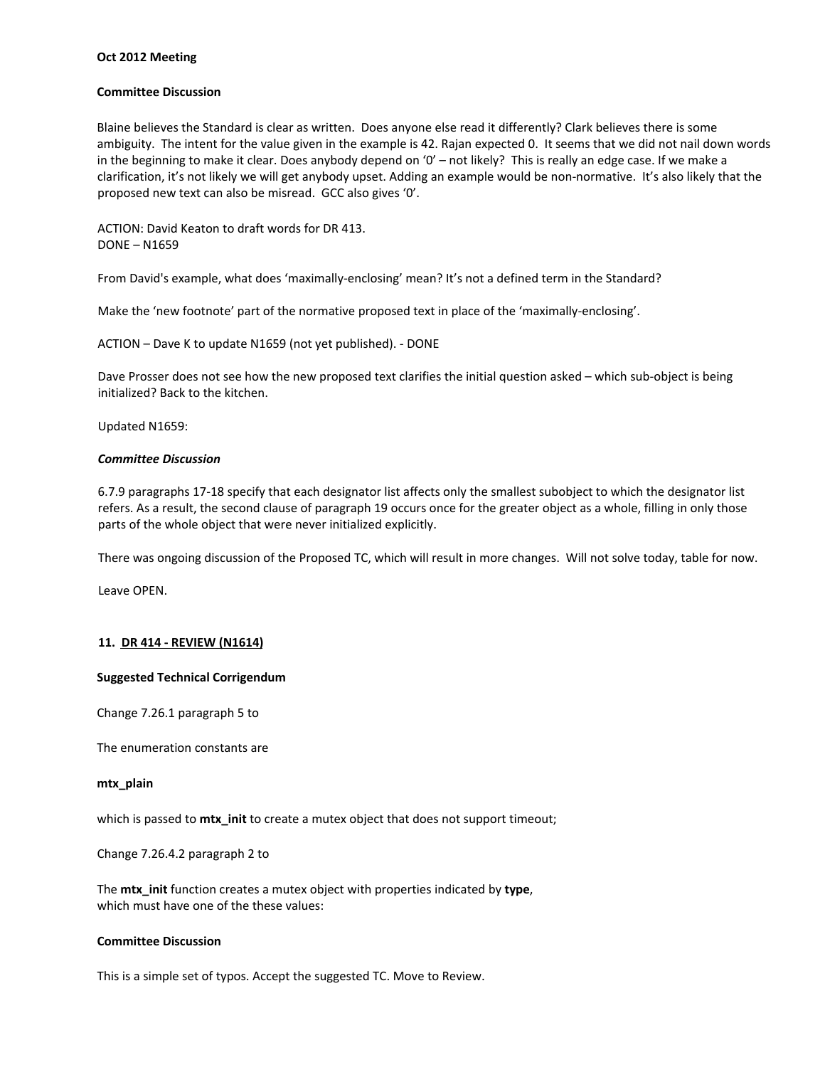#### **Oct 2012 Meeting**

#### **Committee Discussion**

Blaine believes the Standard is clear as written. Does anyone else read it differently? Clark believes there is some ambiguity. The intent for the value given in the example is 42. Rajan expected 0. It seems that we did not nail down words in the beginning to make it clear. Does anybody depend on '0' – not likely? This is really an edge case. If we make a clarification, it's not likely we will get anybody upset. Adding an example would be non‐normative. It's also likely that the proposed new text can also be misread. GCC also gives '0'.

ACTION: David Keaton to draft words for DR 413. DONE – N1659

From David's example, what does 'maximally‐enclosing' mean? It's not a defined term in the Standard?

Make the 'new footnote' part of the normative proposed text in place of the 'maximally‐enclosing'.

ACTION – Dave K to update N1659 (not yet published). ‐ DONE

Dave Prosser does not see how the new proposed text clarifies the initial question asked – which sub-object is being initialized? Back to the kitchen.

Updated N1659:

#### *Committee Discussion*

6.7.9 paragraphs 17‐18 specify that each designator list affects only the smallest subobject to which the designator list refers. As a result, the second clause of paragraph 19 occurs once for the greater object as a whole, filling in only those parts of the whole object that were never initialized explicitly.

There was ongoing discussion of the Proposed TC, which will result in more changes. Will not solve today, table for now.

Leave OPEN.

## **11. DR 414 ‐ REVIEW (N1614)**

#### **Suggested Technical Corrigendum**

Change 7.26.1 paragraph 5 to

The enumeration constants are

#### **mtx\_plain**

which is passed to **mtx\_init** to create a mutex object that does not support timeout;

Change 7.26.4.2 paragraph 2 to

The **mtx\_init** function creates a mutex object with properties indicated by **type**, which must have one of the these values:

## **Committee Discussion**

This is a simple set of typos. Accept the suggested TC. Move to Review.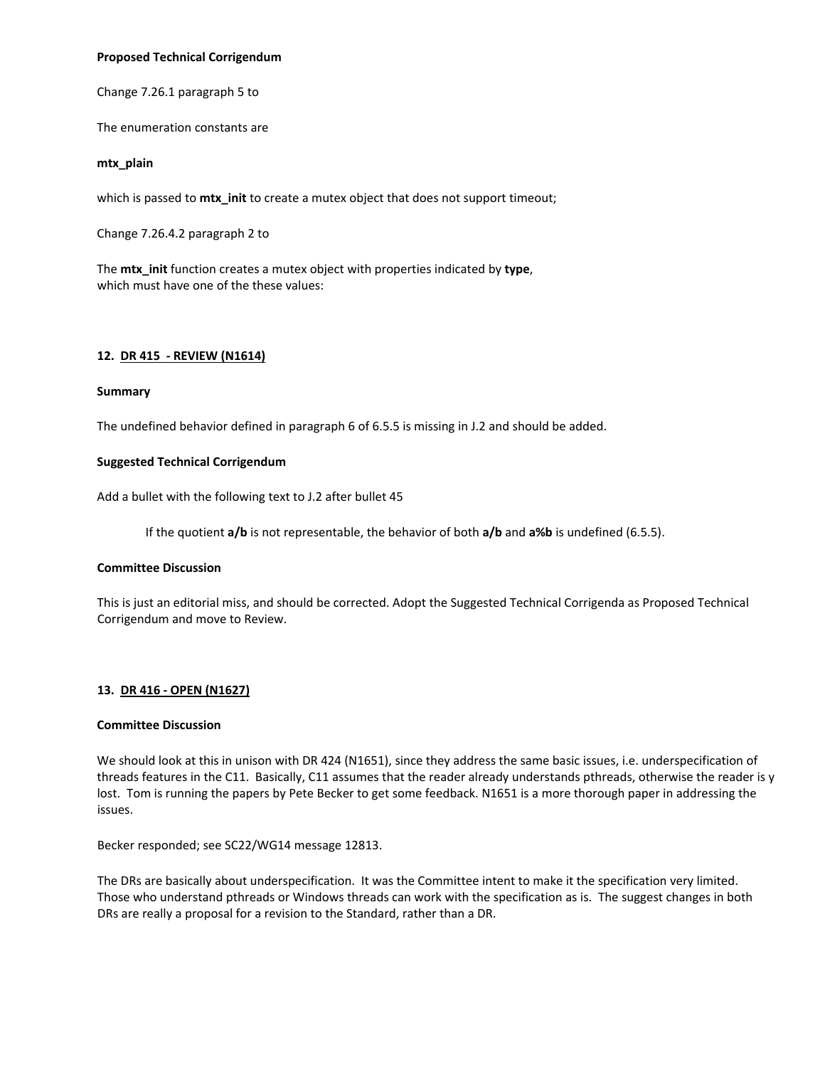#### **Proposed Technical Corrigendum**

Change 7.26.1 paragraph 5 to

The enumeration constants are

#### **mtx\_plain**

which is passed to **mtx\_init** to create a mutex object that does not support timeout;

Change 7.26.4.2 paragraph 2 to

The **mtx\_init** function creates a mutex object with properties indicated by **type**, which must have one of the these values:

## **12. DR 415 ‐ REVIEW (N1614)**

#### **Summary**

The undefined behavior defined in paragraph 6 of 6.5.5 is missing in J.2 and should be added.

## **Suggested Technical Corrigendum**

Add a bullet with the following text to J.2 after bullet 45

If the quotient **a/b** is not representable, the behavior of both **a/b** and **a%b** is undefined (6.5.5).

#### **Committee Discussion**

This is just an editorial miss, and should be corrected. Adopt the Suggested Technical Corrigenda as Proposed Technical Corrigendum and move to Review.

# **13. DR 416 ‐ OPEN (N1627)**

#### **Committee Discussion**

We should look at this in unison with DR 424 (N1651), since they address the same basic issues, i.e. underspecification of threads features in the C11. Basically, C11 assumes that the reader already understands pthreads, otherwise the reader is y lost. Tom is running the papers by Pete Becker to get some feedback. N1651 is a more thorough paper in addressing the issues.

Becker responded; see SC22/WG14 message 12813.

The DRs are basically about underspecification. It was the Committee intent to make it the specification very limited. Those who understand pthreads or Windows threads can work with the specification as is. The suggest changes in both DRs are really a proposal for a revision to the Standard, rather than a DR.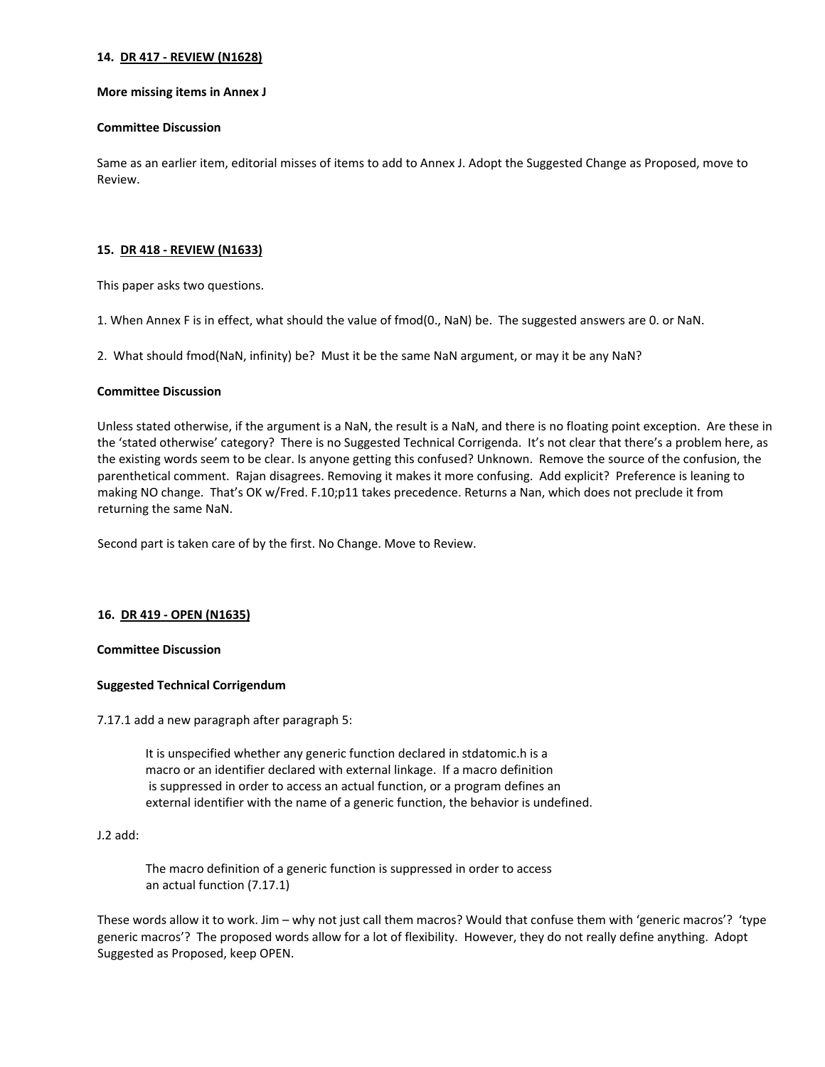#### **14. DR 417 ‐ REVIEW (N1628)**

#### **More missing items in Annex J**

#### **Committee Discussion**

Same as an earlier item, editorial misses of items to add to Annex J. Adopt the Suggested Change as Proposed, move to Review.

## **15. DR 418 ‐ REVIEW (N1633)**

This paper asks two questions.

1. When Annex F is in effect, what should the value of fmod(0., NaN) be. The suggested answers are 0. or NaN.

2. What should fmod(NaN, infinity) be? Must it be the same NaN argument, or may it be any NaN?

#### **Committee Discussion**

Unless stated otherwise, if the argument is a NaN, the result is a NaN, and there is no floating point exception. Are these in the 'stated otherwise' category? There is no Suggested Technical Corrigenda. It's not clear that there's a problem here, as the existing words seem to be clear. Is anyone getting this confused? Unknown. Remove the source of the confusion, the parenthetical comment. Rajan disagrees. Removing it makes it more confusing. Add explicit? Preference is leaning to making NO change. That's OK w/Fred. F.10;p11 takes precedence. Returns a Nan, which does not preclude it from returning the same NaN.

Second part is taken care of by the first. No Change. Move to Review.

# **16. DR 419 ‐ OPEN (N1635)**

#### **Committee Discussion**

# **Suggested Technical Corrigendum**

7.17.1 add a new paragraph after paragraph 5:

 It is unspecified whether any generic function declared in stdatomic.h is a macro or an identifier declared with external linkage. If a macro definition is suppressed in order to access an actual function, or a program defines an external identifier with the name of a generic function, the behavior is undefined.

#### J.2 add:

 The macro definition of a generic function is suppressed in order to access an actual function (7.17.1)

These words allow it to work. Jim – why not just call them macros? Would that confuse them with 'generic macros'? 'type generic macros'? The proposed words allow for a lot of flexibility. However, they do not really define anything. Adopt Suggested as Proposed, keep OPEN.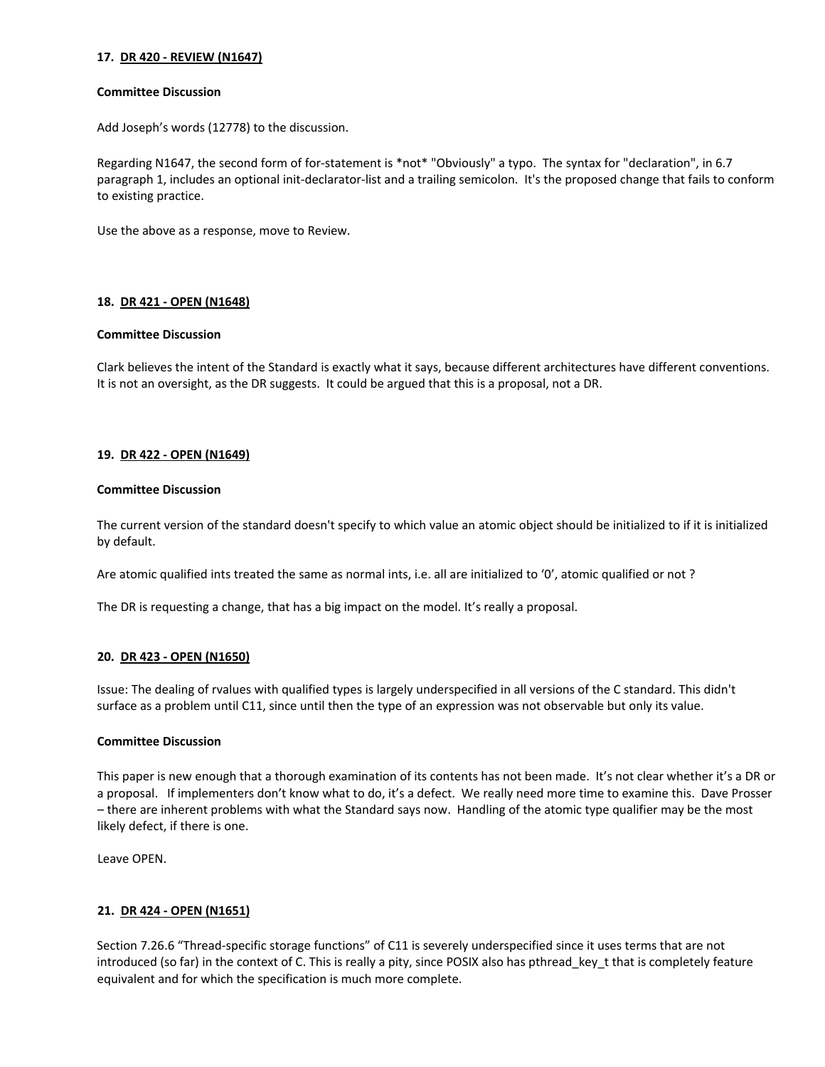## **17. DR 420 ‐ REVIEW (N1647)**

#### **Committee Discussion**

Add Joseph's words (12778) to the discussion.

Regarding N1647, the second form of for-statement is \*not\* "Obviously" a typo. The syntax for "declaration", in 6.7 paragraph 1, includes an optional init‐declarator‐list and a trailing semicolon. It's the proposed change that fails to conform to existing practice.

Use the above as a response, move to Review.

## **18. DR 421 ‐ OPEN (N1648)**

#### **Committee Discussion**

Clark believes the intent of the Standard is exactly what it says, because different architectures have different conventions. It is not an oversight, as the DR suggests. It could be argued that this is a proposal, not a DR.

#### **19. DR 422 ‐ OPEN (N1649)**

#### **Committee Discussion**

The current version of the standard doesn't specify to which value an atomic object should be initialized to if it is initialized by default.

Are atomic qualified ints treated the same as normal ints, i.e. all are initialized to '0', atomic qualified or not ?

The DR is requesting a change, that has a big impact on the model. It's really a proposal.

#### **20. DR 423 ‐ OPEN (N1650)**

Issue: The dealing of rvalues with qualified types is largely underspecified in all versions of the C standard. This didn't surface as a problem until C11, since until then the type of an expression was not observable but only its value.

## **Committee Discussion**

This paper is new enough that a thorough examination of its contents has not been made. It's not clear whether it's a DR or a proposal. If implementers don't know what to do, it's a defect. We really need more time to examine this. Dave Prosser – there are inherent problems with what the Standard says now. Handling of the atomic type qualifier may be the most likely defect, if there is one.

Leave OPEN.

#### **21. DR 424 ‐ OPEN (N1651)**

Section 7.26.6 "Thread‐specific storage functions" of C11 is severely underspecified since it uses terms that are not introduced (so far) in the context of C. This is really a pity, since POSIX also has pthread\_key\_t that is completely feature equivalent and for which the specification is much more complete.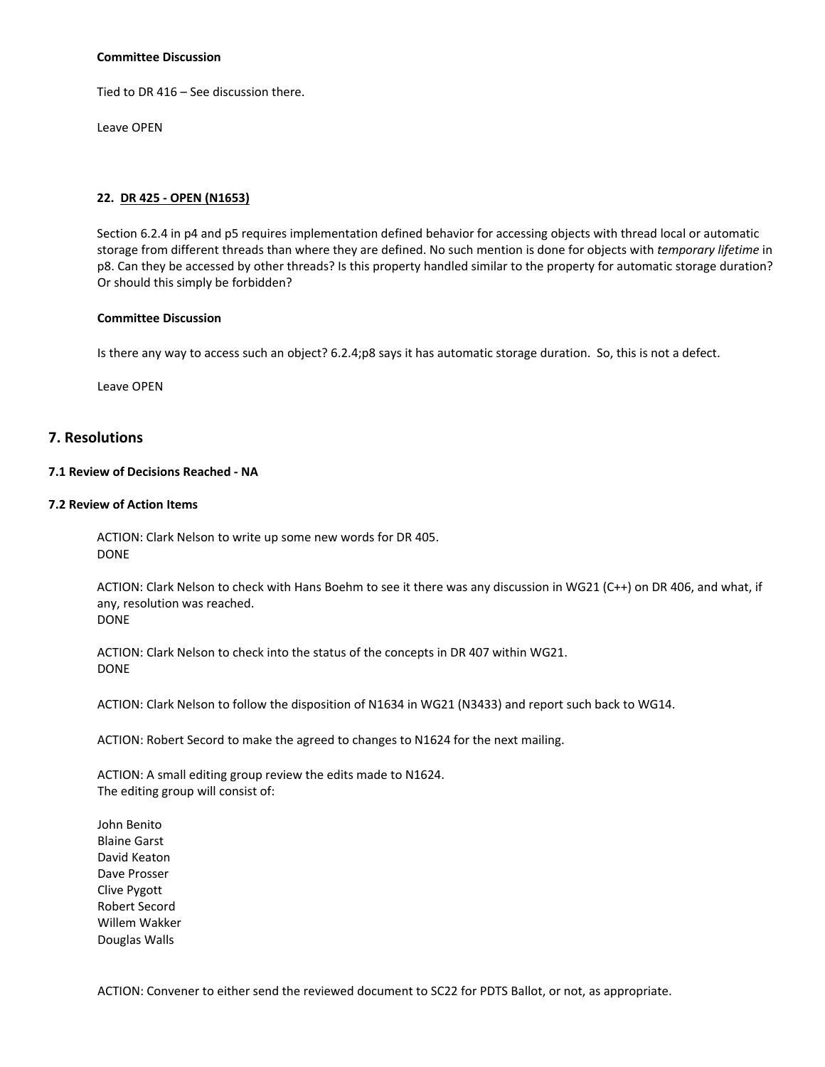#### **Committee Discussion**

Tied to DR 416 – See discussion there.

Leave OPEN

## **22. DR 425 ‐ OPEN (N1653)**

Section 6.2.4 in p4 and p5 requires implementation defined behavior for accessing objects with thread local or automatic storage from different threads than where they are defined. No such mention is done for objects with *temporary lifetime* in p8. Can they be accessed by other threads? Is this property handled similar to the property for automatic storage duration? Or should this simply be forbidden?

## **Committee Discussion**

Is there any way to access such an object? 6.2.4;p8 says it has automatic storage duration. So, this is not a defect.

Leave OPEN

# **7. Resolutions**

# **7.1 Review of Decisions Reached ‐ NA**

#### **7.2 Review of Action Items**

ACTION: Clark Nelson to write up some new words for DR 405. DONE

ACTION: Clark Nelson to check with Hans Boehm to see it there was any discussion in WG21 (C++) on DR 406, and what, if any, resolution was reached. DONE

ACTION: Clark Nelson to check into the status of the concepts in DR 407 within WG21. DONE

ACTION: Clark Nelson to follow the disposition of N1634 in WG21 (N3433) and report such back to WG14.

ACTION: Robert Secord to make the agreed to changes to N1624 for the next mailing.

ACTION: A small editing group review the edits made to N1624. The editing group will consist of:

John Benito Blaine Garst David Keaton Dave Prosser Clive Pygott Robert Secord Willem Wakker Douglas Walls

ACTION: Convener to either send the reviewed document to SC22 for PDTS Ballot, or not, as appropriate.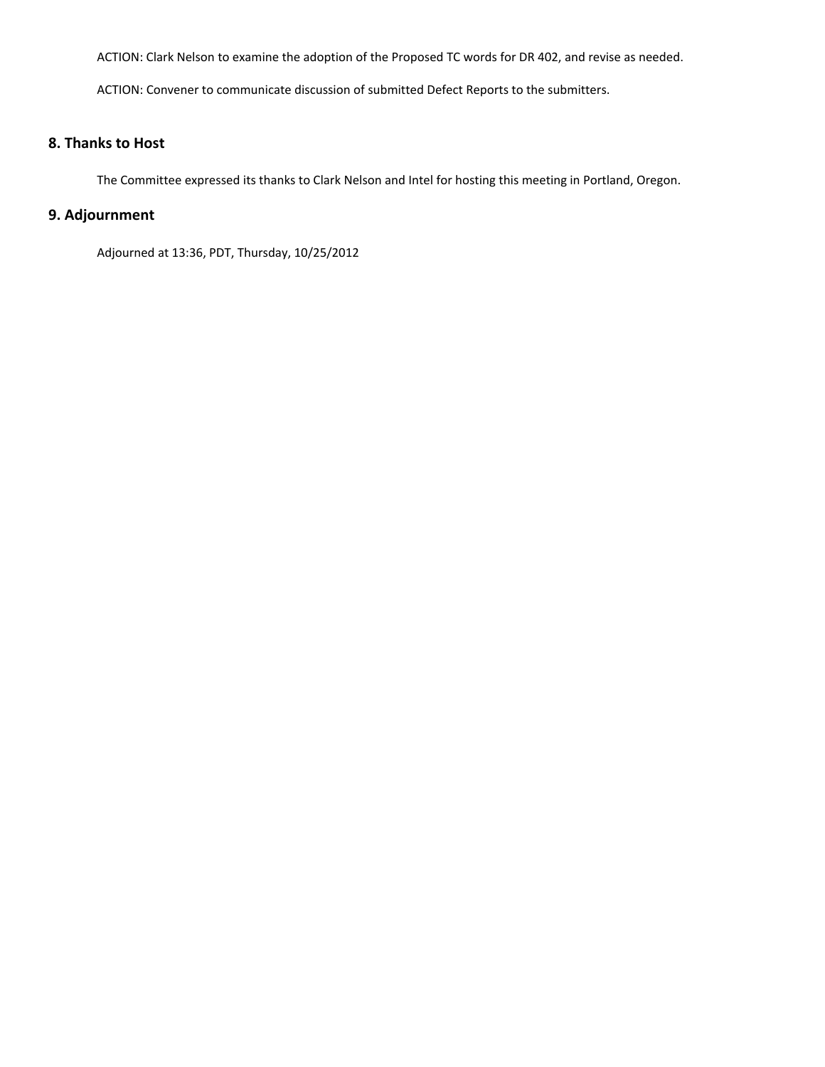ACTION: Clark Nelson to examine the adoption of the Proposed TC words for DR 402, and revise as needed.

ACTION: Convener to communicate discussion of submitted Defect Reports to the submitters.

# **8. Thanks to Host**

The Committee expressed its thanks to Clark Nelson and Intel for hosting this meeting in Portland, Oregon.

# **9. Adjournment**

Adjourned at 13:36, PDT, Thursday, 10/25/2012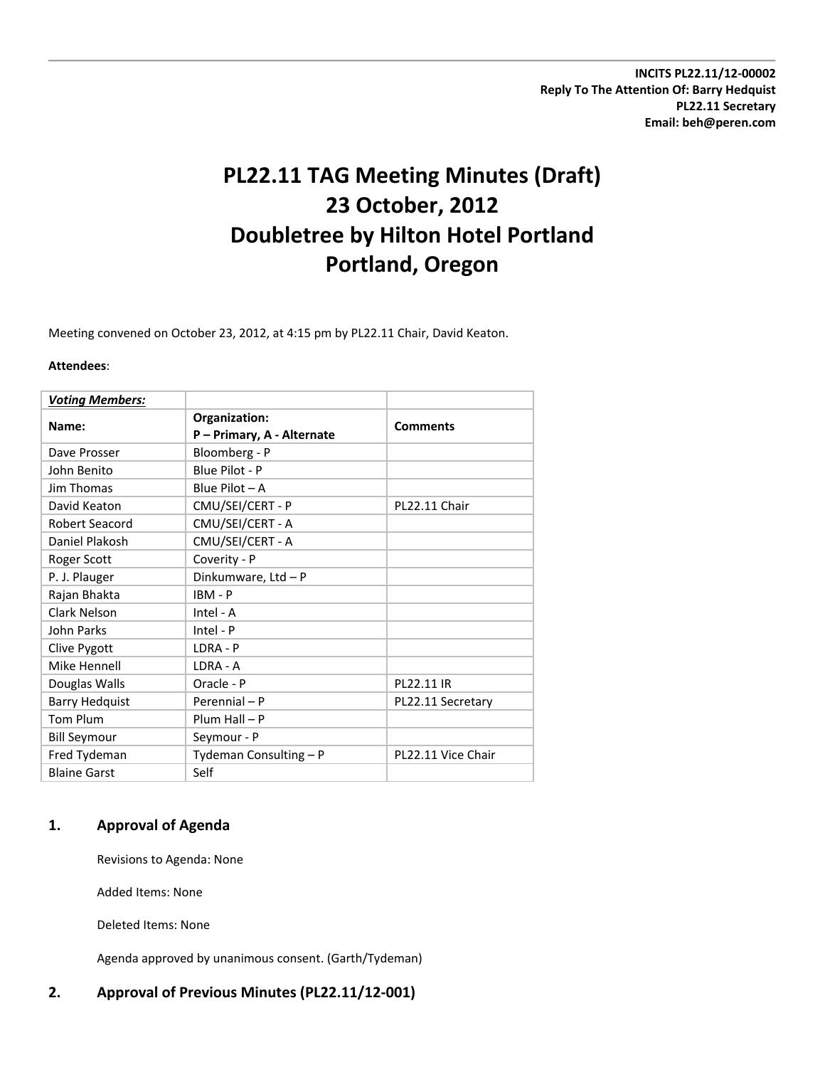**INCITS PL22.11/12‐00002 Reply To The Attention Of: Barry Hedquist PL22.11 Secretary Email: beh@peren.com**

# **PL22.11 TAG Meeting Minutes (Draft) 23 October, 2012 Doubletree by Hilton Hotel Portland Portland, Oregon**

Meeting convened on October 23, 2012, at 4:15 pm by PL22.11 Chair, David Keaton.

#### **Attendees**:

| <b>Voting Members:</b> |                                             |                    |
|------------------------|---------------------------------------------|--------------------|
| Name:                  | Organization:<br>P - Primary, A - Alternate | <b>Comments</b>    |
| Dave Prosser           | Bloomberg - P                               |                    |
| John Benito            | Blue Pilot - P                              |                    |
| Jim Thomas             | Blue Pilot $-A$                             |                    |
| David Keaton           | CMU/SEI/CERT - P                            | PL22.11 Chair      |
| <b>Robert Seacord</b>  | CMU/SEI/CERT - A                            |                    |
| Daniel Plakosh         | CMU/SEI/CERT - A                            |                    |
| Roger Scott            | Coverity - P                                |                    |
| P. J. Plauger          | Dinkumware, Ltd - P                         |                    |
| Rajan Bhakta           | $IBM - P$                                   |                    |
| Clark Nelson           | Intel - A                                   |                    |
| John Parks             | $Intel - P$                                 |                    |
| Clive Pygott           | LDRA - P                                    |                    |
| Mike Hennell           | LDRA - A                                    |                    |
| Douglas Walls          | Oracle - P                                  | PL22.11 IR         |
| <b>Barry Hedquist</b>  | Perennial - P                               | PL22.11 Secretary  |
| <b>Tom Plum</b>        | $Plum Hall - P$                             |                    |
| <b>Bill Seymour</b>    | Seymour - P                                 |                    |
| Fred Tydeman           | Tydeman Consulting - P                      | PL22.11 Vice Chair |
| <b>Blaine Garst</b>    | Self                                        |                    |

# **1. Approval of Agenda**

Revisions to Agenda: None

Added Items: None

Deleted Items: None

Agenda approved by unanimous consent. (Garth/Tydeman)

# **2. Approval of Previous Minutes (PL22.11/12‐001)**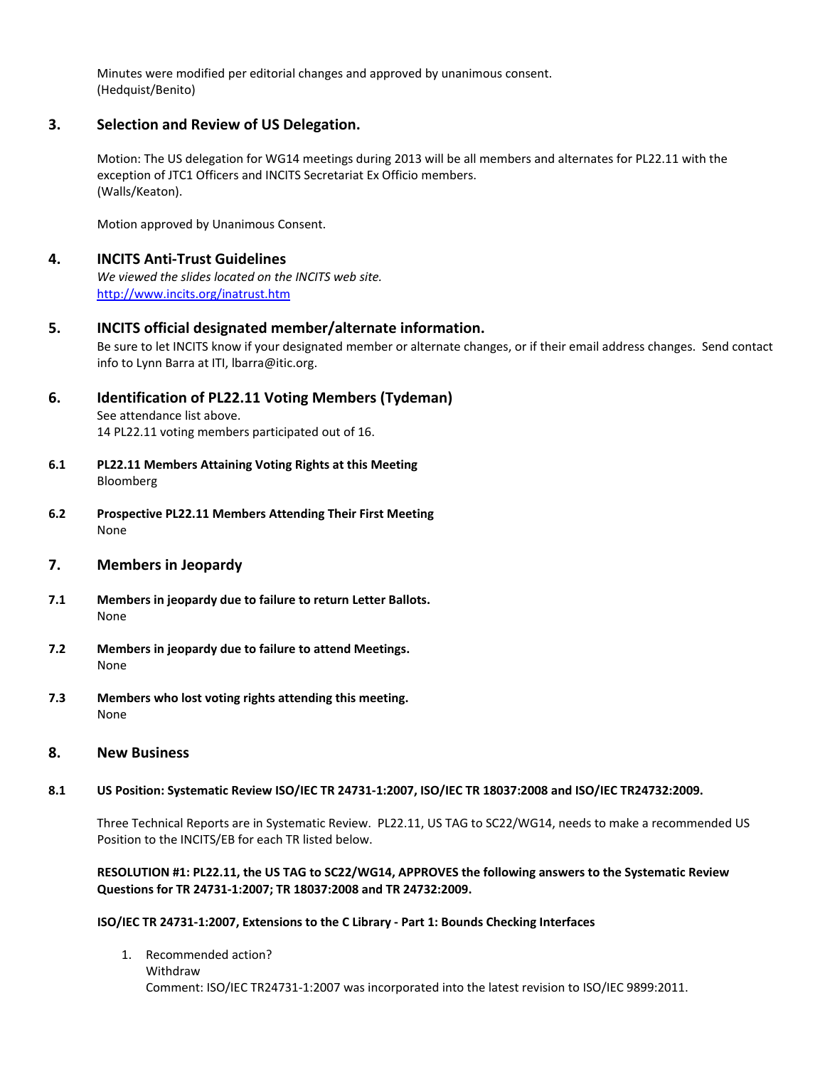Minutes were modified per editorial changes and approved by unanimous consent. (Hedquist/Benito)

# **3. Selection and Review of US Delegation.**

Motion: The US delegation for WG14 meetings during 2013 will be all members and alternates for PL22.11 with the exception of JTC1 Officers and INCITS Secretariat Ex Officio members. (Walls/Keaton).

Motion approved by Unanimous Consent.

# **4. INCITS Anti‐Trust Guidelines**

*We viewed the slides located on the INCITS web site.* <http://www.incits.org/inatrust.htm>

# **5. INCITS official designated member/alternate information.**

Be sure to let INCITS know if your designated member or alternate changes, or if their email address changes. Send contact info to Lynn Barra at ITI, lbarra@itic.org.

# **6. Identification of PL22.11 Voting Members (Tydeman)**

See attendance list above. 14 PL22.11 voting members participated out of 16.

- **6.1 PL22.11 Members Attaining Voting Rights at this Meeting** Bloomberg
- **6.2 Prospective PL22.11 Members Attending Their First Meeting** None
- **7. Members in Jeopardy**
- **7.1 Members in jeopardy due to failure to return Letter Ballots.** None
- **7.2 Members in jeopardy due to failure to attend Meetings.** None
- **7.3 Members who lost voting rights attending this meeting.** None

# **8. New Business**

# 8.1 US Position: Systematic Review ISO/IEC TR 24731-1:2007, ISO/IEC TR 18037:2008 and ISO/IEC TR24732:2009.

Three Technical Reports are in Systematic Review. PL22.11, US TAG to SC22/WG14, needs to make a recommended US Position to the INCITS/EB for each TR listed below.

## **RESOLUTION #1: PL22.11, the US TAG to SC22/WG14, APPROVES the following answers to the Systematic Review Questions for TR 24731‐1:2007; TR 18037:2008 and TR 24732:2009.**

#### **ISO/IEC TR 24731‐1:2007, Extensions to the C Library ‐ Part 1: Bounds Checking Interfaces**

1. Recommended action? Withdraw Comment: ISO/IEC TR24731‐1:2007 was incorporated into the latest revision to ISO/IEC 9899:2011.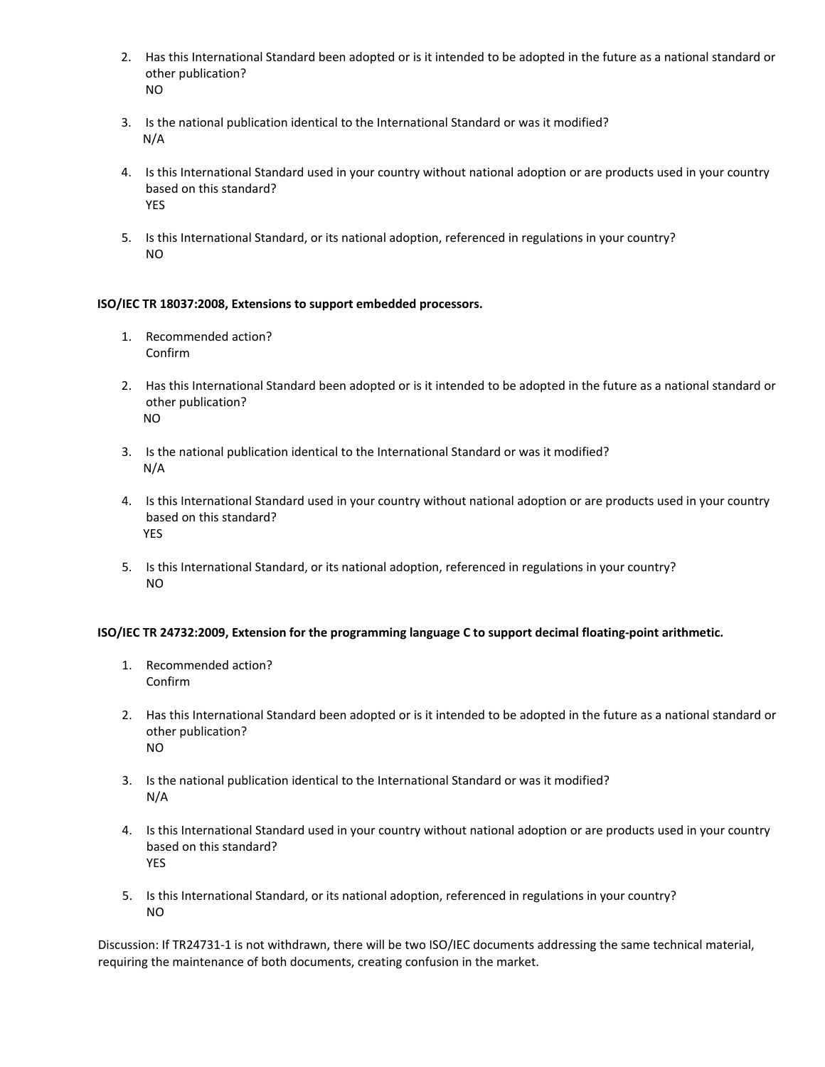- 2. Has this International Standard been adopted or is it intended to be adopted in the future as a national standard or other publication? NO
- 3. Is the national publication identical to the International Standard or was it modified? N/A
- 4. Is this International Standard used in your country without national adoption or are products used in your country based on this standard? YES
- 5. Is this International Standard, or its national adoption, referenced in regulations in your country? NO

# **ISO/IEC TR 18037:2008, Extensions to support embedded processors.**

- 1. Recommended action? Confirm
- 2. Has this International Standard been adopted or is it intended to be adopted in the future as a national standard or other publication? NO
- 3. Is the national publication identical to the International Standard or was it modified? N/A
- 4. Is this International Standard used in your country without national adoption or are products used in your country based on this standard? YES
- 5. Is this International Standard, or its national adoption, referenced in regulations in your country? NO

# **ISO/IEC TR 24732:2009, Extension for the programming language C to support decimal floating‐point arithmetic.**

- 1. Recommended action? Confirm
- 2. Has this International Standard been adopted or is it intended to be adopted in the future as a national standard or other publication? NO
- 3. Is the national publication identical to the International Standard or was it modified? N/A
- 4. Is this International Standard used in your country without national adoption or are products used in your country based on this standard? YES
- 5. Is this International Standard, or its national adoption, referenced in regulations in your country? NO

Discussion: If TR24731-1 is not withdrawn, there will be two ISO/IEC documents addressing the same technical material, requiring the maintenance of both documents, creating confusion in the market.